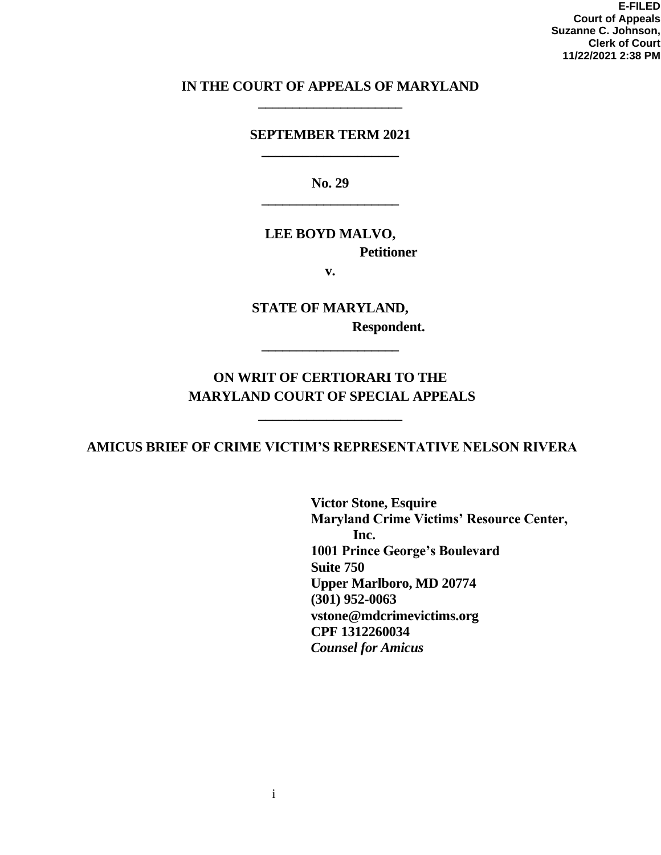**E-FILED Court of Appeals Suzanne C. Johnson, Clerk of Court 11/22/2021 2:38 PM**

### **IN THE COURT OF APPEALS OF MARYLAND \_\_\_\_\_\_\_\_\_\_\_\_\_\_\_\_\_\_\_\_\_**

#### **SEPTEMBER TERM 2021 \_\_\_\_\_\_\_\_\_\_\_\_\_\_\_\_\_\_\_\_**

**No. 29 \_\_\_\_\_\_\_\_\_\_\_\_\_\_\_\_\_\_\_\_**

### **LEE BOYD MALVO, Petitioner**

**v.**

**STATE OF MARYLAND, Respondent.** 

## **ON WRIT OF CERTIORARI TO THE MARYLAND COURT OF SPECIAL APPEALS**

**\_\_\_\_\_\_\_\_\_\_\_\_\_\_\_\_\_\_\_\_\_**

**\_\_\_\_\_\_\_\_\_\_\_\_\_\_\_\_\_\_\_\_**

**AMICUS BRIEF OF CRIME VICTIM'S REPRESENTATIVE NELSON RIVERA**

**Victor Stone, Esquire Maryland Crime Victims' Resource Center, Inc. 1001 Prince George's Boulevard Suite 750 Upper Marlboro, MD 20774 (301) 952-0063 vstone@mdcrimevictims.org CPF 1312260034** *Counsel for Amicus*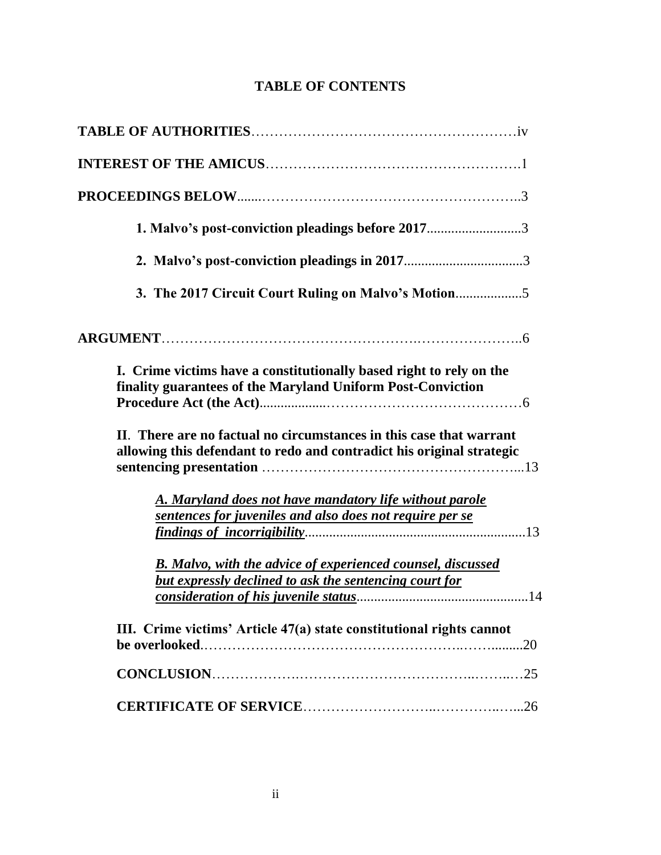## **TABLE OF CONTENTS**

| 1. Malvo's post-conviction pleadings before 20173                                                                                            |
|----------------------------------------------------------------------------------------------------------------------------------------------|
|                                                                                                                                              |
| 3. The 2017 Circuit Court Ruling on Malvo's Motion                                                                                           |
|                                                                                                                                              |
| I. Crime victims have a constitutionally based right to rely on the<br>finality guarantees of the Maryland Uniform Post-Conviction           |
| II. There are no factual no circumstances in this case that warrant<br>allowing this defendant to redo and contradict his original strategic |
| A. Maryland does not have mandatory life without parole<br>sentences for juveniles and also does not require per se                          |
| <b>B.</b> Malvo, with the advice of experienced counsel, discussed<br><b>but expressly declined to ask the sentencing court for</b>          |
| III. Crime victims' Article 47(a) state constitutional rights cannot<br>.20                                                                  |
|                                                                                                                                              |
|                                                                                                                                              |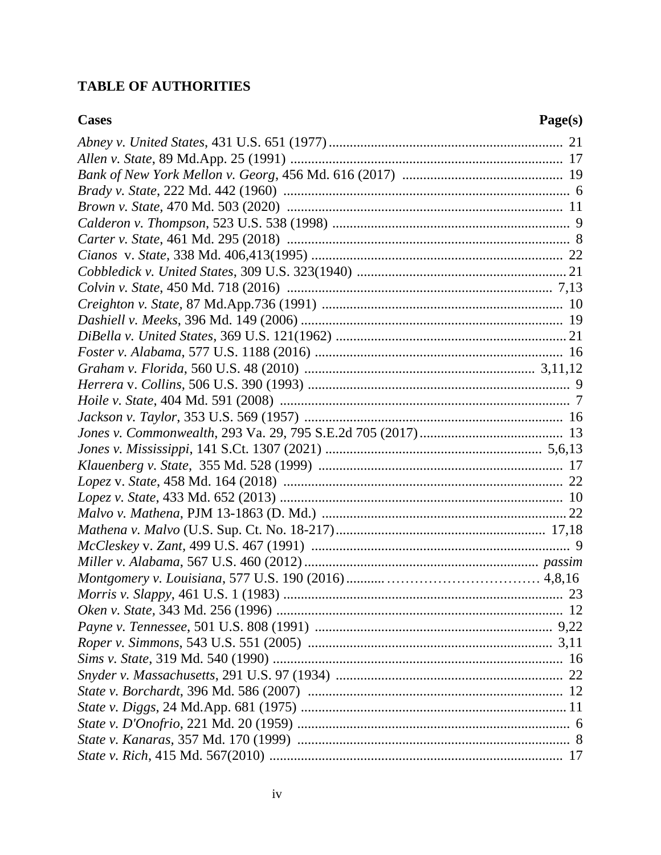## **TABLE OF AUTHORITIES**

| <b>Cases</b> | Page(s) |
|--------------|---------|
|              |         |
|              |         |
|              |         |
|              |         |
|              |         |
|              |         |
|              |         |
|              |         |
|              |         |
|              |         |
|              |         |
|              |         |
|              |         |
|              |         |
|              |         |
|              |         |
|              |         |
|              |         |
|              |         |
|              |         |
|              |         |
|              |         |
|              |         |
|              |         |
|              |         |
|              |         |
|              |         |
|              |         |
|              | 23      |
|              |         |
|              |         |
|              |         |
|              |         |
|              |         |
|              |         |
|              |         |
|              |         |
|              |         |
|              |         |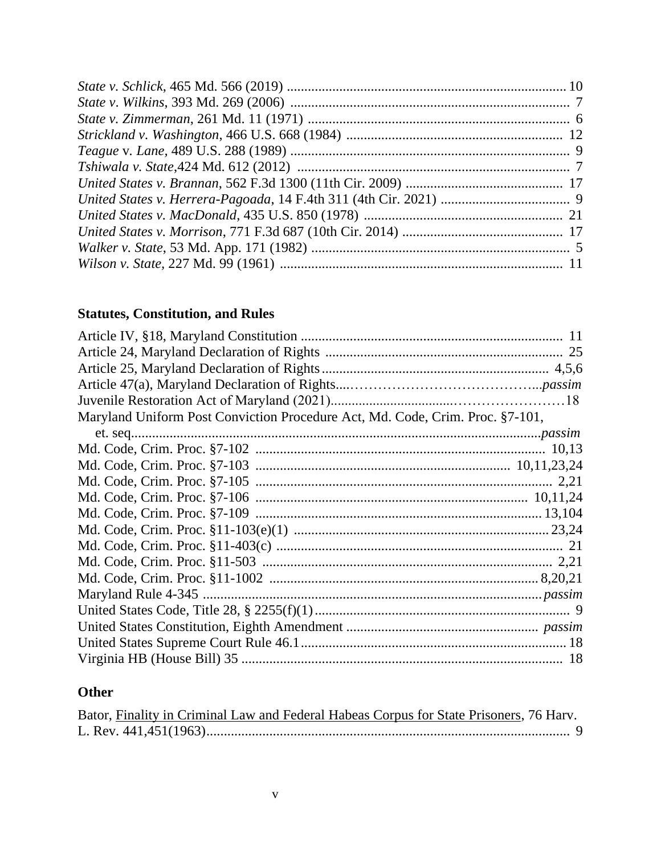# **Statutes, Constitution, and Rules**

| Maryland Uniform Post Conviction Procedure Act, Md. Code, Crim. Proc. §7-101, |  |
|-------------------------------------------------------------------------------|--|
|                                                                               |  |
|                                                                               |  |
|                                                                               |  |
|                                                                               |  |
|                                                                               |  |
|                                                                               |  |
|                                                                               |  |
|                                                                               |  |
|                                                                               |  |
|                                                                               |  |
|                                                                               |  |
|                                                                               |  |
|                                                                               |  |
|                                                                               |  |
|                                                                               |  |

# **Other**

|  | Bator, Finality in Criminal Law and Federal Habeas Corpus for State Prisoners, 76 Harv. |  |  |
|--|-----------------------------------------------------------------------------------------|--|--|
|  |                                                                                         |  |  |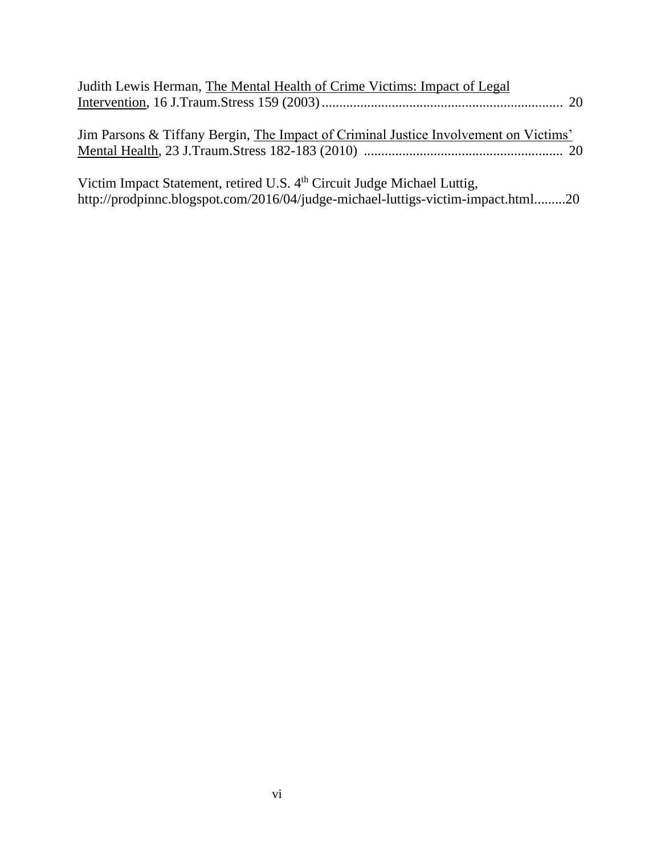| Judith Lewis Herman, The Mental Health of Crime Victims: Impact of Legal             |  |
|--------------------------------------------------------------------------------------|--|
| Jim Parsons & Tiffany Bergin, The Impact of Criminal Justice Involvement on Victims' |  |
| Victim Impact Statement, retired U.S. 4 <sup>th</sup> Circuit Judge Michael Luttig,  |  |

http://prodpinnc.blogspot.com/2016/04/judge-michael-luttigs-victim-impact.html.........20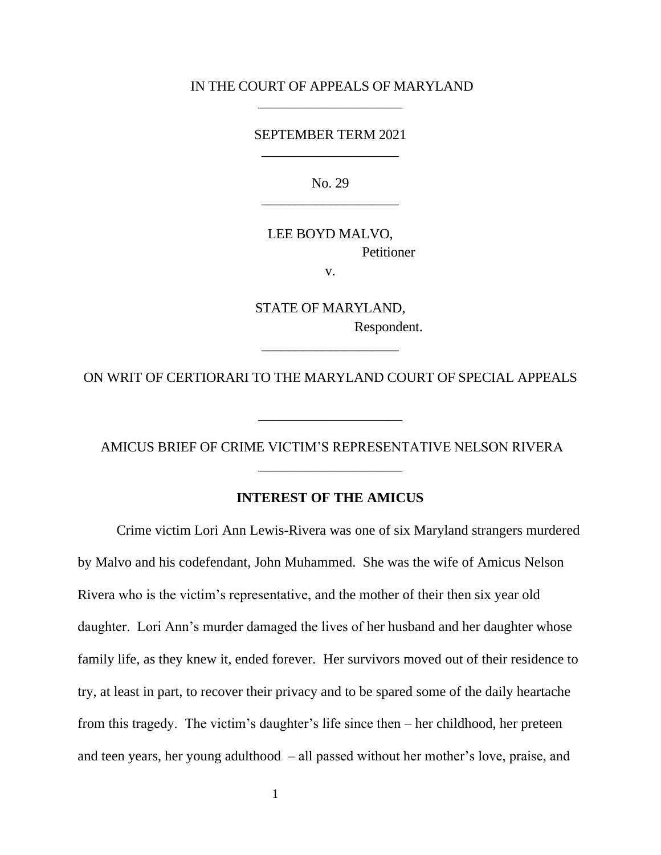#### IN THE COURT OF APPEALS OF MARYLAND  $\overline{\phantom{a}}$  , and the set of the set of the set of the set of the set of the set of the set of the set of the set of the set of the set of the set of the set of the set of the set of the set of the set of the set of the s

#### SEPTEMBER TERM 2021 \_\_\_\_\_\_\_\_\_\_\_\_\_\_\_\_\_\_\_\_

No. 29 \_\_\_\_\_\_\_\_\_\_\_\_\_\_\_\_\_\_\_\_

LEE BOYD MALVO, **Petitioner** 

v.

STATE OF MARYLAND, Respondent.

ON WRIT OF CERTIORARI TO THE MARYLAND COURT OF SPECIAL APPEALS

\_\_\_\_\_\_\_\_\_\_\_\_\_\_\_\_\_\_\_\_\_

\_\_\_\_\_\_\_\_\_\_\_\_\_\_\_\_\_\_\_\_

AMICUS BRIEF OF CRIME VICTIM'S REPRESENTATIVE NELSON RIVERA \_\_\_\_\_\_\_\_\_\_\_\_\_\_\_\_\_\_\_\_\_

#### **INTEREST OF THE AMICUS**

Crime victim Lori Ann Lewis-Rivera was one of six Maryland strangers murdered by Malvo and his codefendant, John Muhammed. She was the wife of Amicus Nelson Rivera who is the victim's representative, and the mother of their then six year old daughter. Lori Ann's murder damaged the lives of her husband and her daughter whose family life, as they knew it, ended forever. Her survivors moved out of their residence to try, at least in part, to recover their privacy and to be spared some of the daily heartache from this tragedy. The victim's daughter's life since then – her childhood, her preteen and teen years, her young adulthood – all passed without her mother's love, praise, and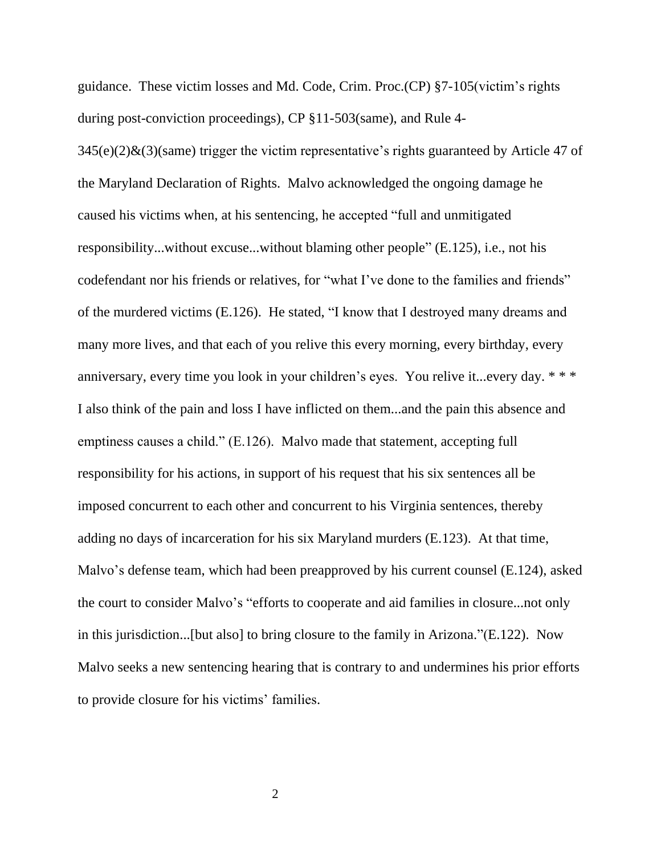guidance. These victim losses and Md. Code, Crim. Proc.(CP) §7-105(victim's rights during post-conviction proceedings), CP §11-503(same), and Rule 4-

 $345(e)(2)$ &(3)(same) trigger the victim representative's rights guaranteed by Article 47 of the Maryland Declaration of Rights. Malvo acknowledged the ongoing damage he caused his victims when, at his sentencing, he accepted "full and unmitigated responsibility...without excuse...without blaming other people" (E.125), i.e., not his codefendant nor his friends or relatives, for "what I've done to the families and friends" of the murdered victims (E.126). He stated, "I know that I destroyed many dreams and many more lives, and that each of you relive this every morning, every birthday, every anniversary, every time you look in your children's eyes. You relive it...every day. \* \* \* I also think of the pain and loss I have inflicted on them...and the pain this absence and emptiness causes a child." (E.126). Malvo made that statement, accepting full responsibility for his actions, in support of his request that his six sentences all be imposed concurrent to each other and concurrent to his Virginia sentences, thereby adding no days of incarceration for his six Maryland murders (E.123). At that time, Malvo's defense team, which had been preapproved by his current counsel (E.124), asked the court to consider Malvo's "efforts to cooperate and aid families in closure...not only in this jurisdiction...[but also] to bring closure to the family in Arizona."(E.122). Now Malvo seeks a new sentencing hearing that is contrary to and undermines his prior efforts to provide closure for his victims' families.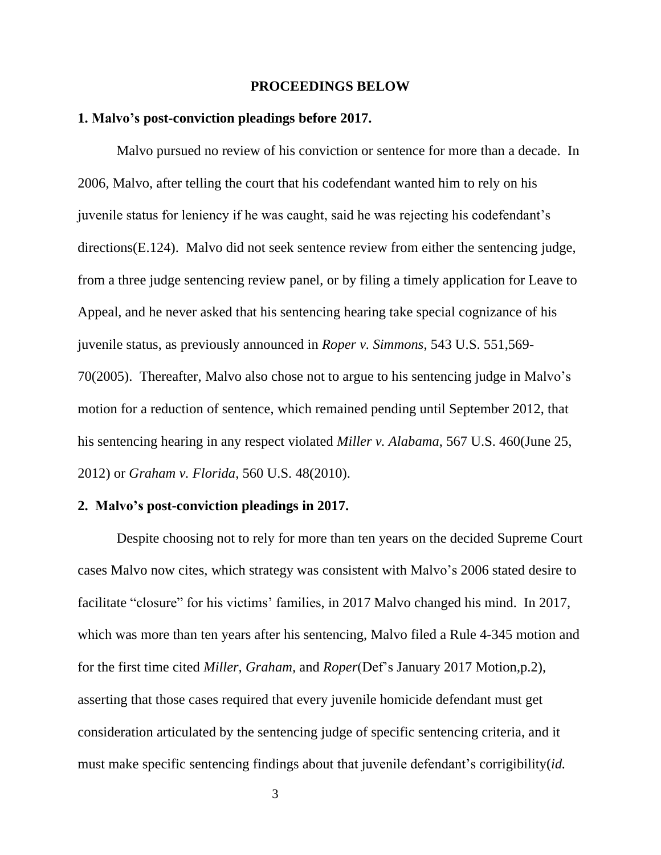#### **PROCEEDINGS BELOW**

#### **1. Malvo's post-conviction pleadings before 2017.**

Malvo pursued no review of his conviction or sentence for more than a decade. In 2006, Malvo, after telling the court that his codefendant wanted him to rely on his juvenile status for leniency if he was caught, said he was rejecting his codefendant's directions(E.124). Malvo did not seek sentence review from either the sentencing judge, from a three judge sentencing review panel, or by filing a timely application for Leave to Appeal, and he never asked that his sentencing hearing take special cognizance of his juvenile status, as previously announced in *Roper v. Simmons*, 543 U.S. 551,569- 70(2005). Thereafter, Malvo also chose not to argue to his sentencing judge in Malvo's motion for a reduction of sentence, which remained pending until September 2012, that his sentencing hearing in any respect violated *Miller v. Alabama*, 567 U.S. 460(June 25, 2012) or *Graham v. Florida*, 560 U.S. 48(2010).

#### **2. Malvo's post-conviction pleadings in 2017.**

Despite choosing not to rely for more than ten years on the decided Supreme Court cases Malvo now cites, which strategy was consistent with Malvo's 2006 stated desire to facilitate "closure" for his victims' families, in 2017 Malvo changed his mind. In 2017, which was more than ten years after his sentencing, Malvo filed a Rule 4-345 motion and for the first time cited *Miller, Graham,* and *Roper*(Def's January 2017 Motion,p.2), asserting that those cases required that every juvenile homicide defendant must get consideration articulated by the sentencing judge of specific sentencing criteria, and it must make specific sentencing findings about that juvenile defendant's corrigibility(*id.*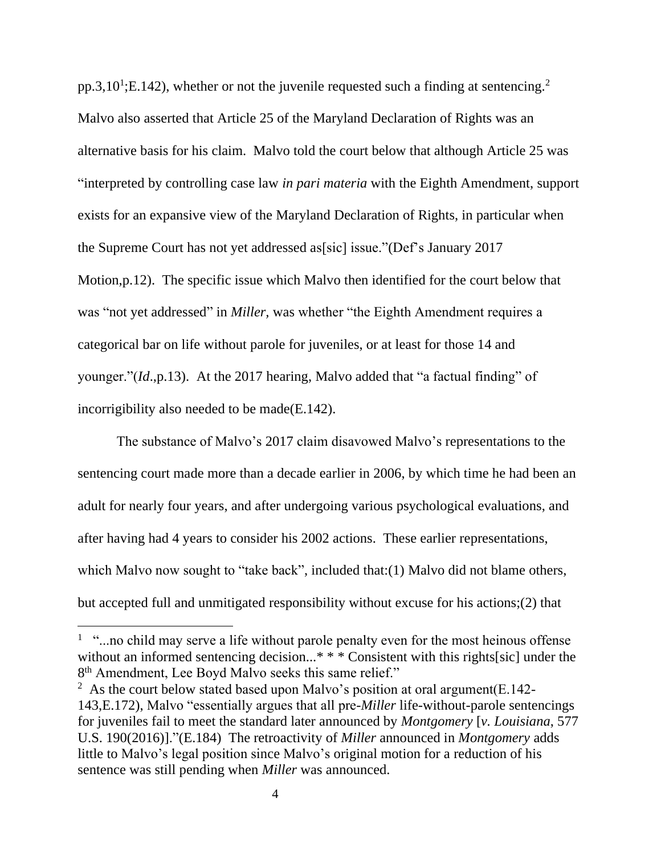pp.3,10<sup>1</sup>;E.142), whether or not the juvenile requested such a finding at sentencing.<sup>2</sup> Malvo also asserted that Article 25 of the Maryland Declaration of Rights was an alternative basis for his claim. Malvo told the court below that although Article 25 was "interpreted by controlling case law *in pari materia* with the Eighth Amendment, support exists for an expansive view of the Maryland Declaration of Rights, in particular when the Supreme Court has not yet addressed as[sic] issue."(Def's January 2017 Motion,p.12). The specific issue which Malvo then identified for the court below that was "not yet addressed" in *Miller,* was whether "the Eighth Amendment requires a categorical bar on life without parole for juveniles, or at least for those 14 and younger."(*Id*.,p.13). At the 2017 hearing, Malvo added that "a factual finding" of incorrigibility also needed to be made(E.142).

The substance of Malvo's 2017 claim disavowed Malvo's representations to the sentencing court made more than a decade earlier in 2006, by which time he had been an adult for nearly four years, and after undergoing various psychological evaluations, and after having had 4 years to consider his 2002 actions. These earlier representations, which Malvo now sought to "take back", included that:(1) Malvo did not blame others, but accepted full and unmitigated responsibility without excuse for his actions;(2) that

 $1$  "...no child may serve a life without parole penalty even for the most heinous offense without an informed sentencing decision...\* \* \* Consistent with this rights[sic] under the 8<sup>th</sup> Amendment, Lee Boyd Malvo seeks this same relief."

<sup>&</sup>lt;sup>2</sup> As the court below stated based upon Malvo's position at oral argument  $(E.142 -$ 143,E.172), Malvo "essentially argues that all pre-*Miller* life-without-parole sentencings for juveniles fail to meet the standard later announced by *Montgomery* [*v. Louisiana*, 577 U.S. 190(2016)]."(E.184) The retroactivity of *Miller* announced in *Montgomery* adds little to Malvo's legal position since Malvo's original motion for a reduction of his sentence was still pending when *Miller* was announced.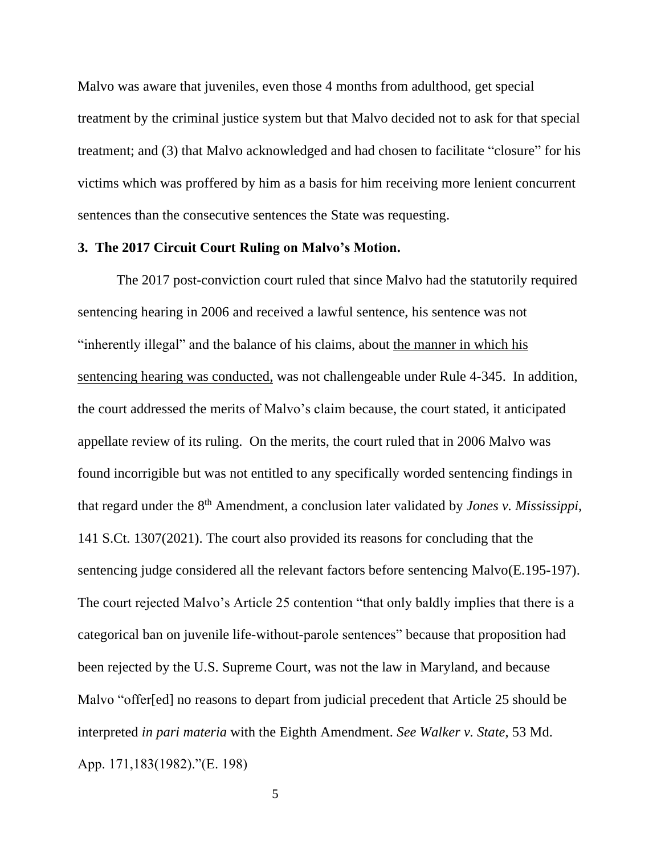Malvo was aware that juveniles, even those 4 months from adulthood, get special treatment by the criminal justice system but that Malvo decided not to ask for that special treatment; and (3) that Malvo acknowledged and had chosen to facilitate "closure" for his victims which was proffered by him as a basis for him receiving more lenient concurrent sentences than the consecutive sentences the State was requesting.

#### **3. The 2017 Circuit Court Ruling on Malvo's Motion.**

The 2017 post-conviction court ruled that since Malvo had the statutorily required sentencing hearing in 2006 and received a lawful sentence, his sentence was not "inherently illegal" and the balance of his claims, about the manner in which his sentencing hearing was conducted, was not challengeable under Rule 4-345. In addition, the court addressed the merits of Malvo's claim because, the court stated, it anticipated appellate review of its ruling. On the merits, the court ruled that in 2006 Malvo was found incorrigible but was not entitled to any specifically worded sentencing findings in that regard under the 8th Amendment, a conclusion later validated by *Jones v. Mississippi*, 141 S.Ct. 1307(2021). The court also provided its reasons for concluding that the sentencing judge considered all the relevant factors before sentencing Malvo(E.195-197). The court rejected Malvo's Article 25 contention "that only baldly implies that there is a categorical ban on juvenile life-without-parole sentences" because that proposition had been rejected by the U.S. Supreme Court, was not the law in Maryland, and because Malvo "offer[ed] no reasons to depart from judicial precedent that Article 25 should be interpreted *in pari materia* with the Eighth Amendment. *See Walker v. State*, 53 Md. App. 171,183(1982)."(E. 198)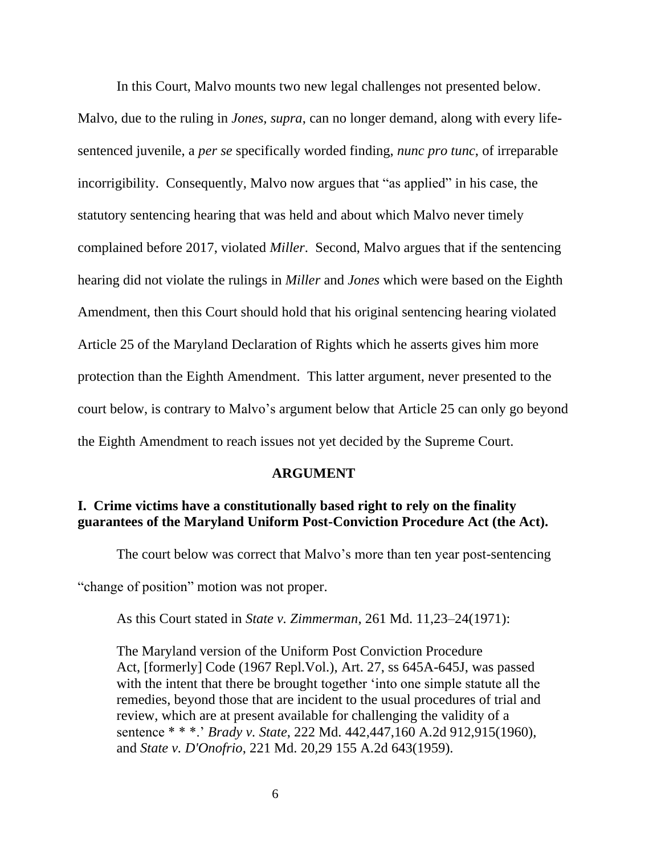In this Court, Malvo mounts two new legal challenges not presented below.

Malvo, due to the ruling in *Jones, supra*, can no longer demand, along with every lifesentenced juvenile, a *per se* specifically worded finding, *nunc pro tunc*, of irreparable incorrigibility. Consequently, Malvo now argues that "as applied" in his case, the statutory sentencing hearing that was held and about which Malvo never timely complained before 2017, violated *Miller*. Second, Malvo argues that if the sentencing hearing did not violate the rulings in *Miller* and *Jones* which were based on the Eighth Amendment, then this Court should hold that his original sentencing hearing violated Article 25 of the Maryland Declaration of Rights which he asserts gives him more protection than the Eighth Amendment. This latter argument, never presented to the court below, is contrary to Malvo's argument below that Article 25 can only go beyond the Eighth Amendment to reach issues not yet decided by the Supreme Court.

#### **ARGUMENT**

### **I. Crime victims have a constitutionally based right to rely on the finality guarantees of the Maryland Uniform Post-Conviction Procedure Act (the Act).**

The court below was correct that Malvo's more than ten year post-sentencing

"change of position" motion was not proper.

As this Court stated in *State v. Zimmerman*, 261 Md. 11,23–24(1971):

The Maryland version of the Uniform Post Conviction Procedure Act, [formerly] Code (1967 Repl.Vol.), Art. 27, ss 645A-645J, was passed with the intent that there be brought together 'into one simple statute all the remedies, beyond those that are incident to the usual procedures of trial and review, which are at present available for challenging the validity of a sentence \* \* \*.' *Brady v. State*, 222 Md. 442,447,160 A.2d 912,915(1960), and *State v. D'Onofrio*, 221 Md. 20,29 155 A.2d 643(1959).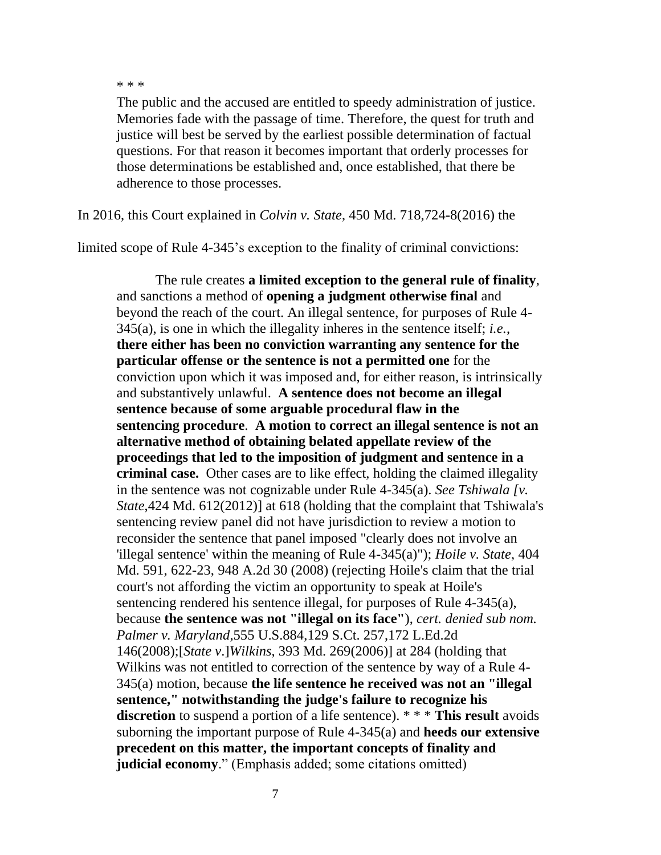\* \* \*

The public and the accused are entitled to speedy administration of justice. Memories fade with the passage of time. Therefore, the quest for truth and justice will best be served by the earliest possible determination of factual questions. For that reason it becomes important that orderly processes for those determinations be established and, once established, that there be adherence to those processes.

In 2016, this Court explained in *Colvin v. State*, 450 Md. 718,724-8(2016) the

limited scope of Rule 4-345's exception to the finality of criminal convictions:

The rule creates **a limited exception to the general rule of finality**, and sanctions a method of **opening a judgment otherwise final** and beyond the reach of the court. An illegal sentence, for purposes of Rule 4- 345(a), is one in which the illegality inheres in the sentence itself; *i.e.*, **there either has been no conviction warranting any sentence for the particular offense or the sentence is not a permitted one** for the conviction upon which it was imposed and, for either reason, is intrinsically and substantively unlawful. **A sentence does not become an illegal sentence because of some arguable procedural flaw in the sentencing procedure**. **A motion to correct an illegal sentence is not an alternative method of obtaining belated appellate review of the proceedings that led to the imposition of judgment and sentence in a criminal case.** Other cases are to like effect, holding the claimed illegality in the sentence was not cognizable under Rule 4-345(a). *See Tshiwala [v. State*,424 Md. 612(2012)] at 618 (holding that the complaint that Tshiwala's sentencing review panel did not have jurisdiction to review a motion to reconsider the sentence that panel imposed "clearly does not involve an 'illegal sentence' within the meaning of Rule 4-345(a)"); *Hoile v. State*, 404 Md. 591, 622-23, 948 A.2d 30 (2008) (rejecting Hoile's claim that the trial court's not affording the victim an opportunity to speak at Hoile's sentencing rendered his sentence illegal, for purposes of Rule 4-345(a), because **the sentence was not "illegal on its face"**), *cert. denied sub nom. Palmer v. Maryland*,555 U.S.884,129 S.Ct. 257,172 L.Ed.2d 146(2008);[*State v*.]*Wilkins*, 393 Md. 269(2006)] at 284 (holding that Wilkins was not entitled to correction of the sentence by way of a Rule 4- 345(a) motion, because **the life sentence he received was not an "illegal sentence," notwithstanding the judge's failure to recognize his discretion** to suspend a portion of a life sentence). \* \* \* **This result** avoids suborning the important purpose of Rule 4-345(a) and **heeds our extensive precedent on this matter, the important concepts of finality and judicial economy**." (Emphasis added; some citations omitted)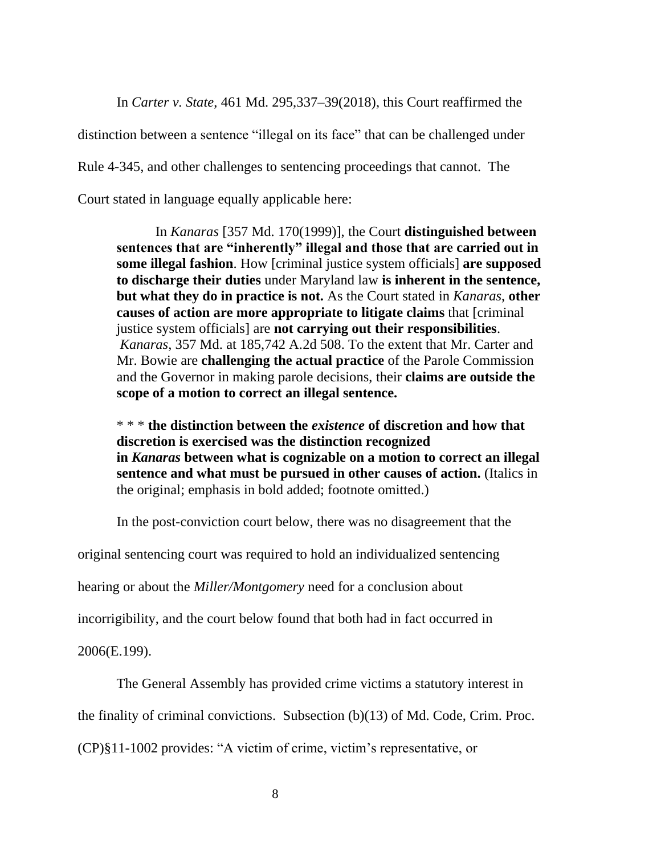In *Carter v. State*, 461 Md. 295,337–39(2018), this Court reaffirmed the

distinction between a sentence "illegal on its face" that can be challenged under

Rule 4-345, and other challenges to sentencing proceedings that cannot. The

Court stated in language equally applicable here:

In *Kanaras* [357 Md. 170(1999)], the Court **distinguished between sentences that are "inherently" illegal and those that are carried out in some illegal fashion**. How [criminal justice system officials] **are supposed to discharge their duties** under Maryland law **is inherent in the sentence, but what they do in practice is not.** As the Court stated in *Kanaras*, **other causes of action are more appropriate to litigate claims** that [criminal justice system officials] are **not carrying out their responsibilities**. *Kanaras*, 357 Md. at 185,742 A.2d 508. To the extent that Mr. Carter and Mr. Bowie are **challenging the actual practice** of the Parole Commission and the Governor in making parole decisions, their **claims are outside the scope of a motion to correct an illegal sentence.**

\* \* \* **the distinction between the** *existence* **of discretion and how that discretion is exercised was the distinction recognized in** *Kanaras* **between what is cognizable on a motion to correct an illegal sentence and what must be pursued in other causes of action.** (Italics in the original; emphasis in bold added; footnote omitted.)

In the post-conviction court below, there was no disagreement that the

original sentencing court was required to hold an individualized sentencing

hearing or about the *Miller/Montgomery* need for a conclusion about

incorrigibility, and the court below found that both had in fact occurred in

2006(E.199).

The General Assembly has provided crime victims a statutory interest in

the finality of criminal convictions. Subsection (b)(13) of Md. Code, Crim. Proc.

(CP)§11-1002 provides: "A victim of crime, victim's representative, or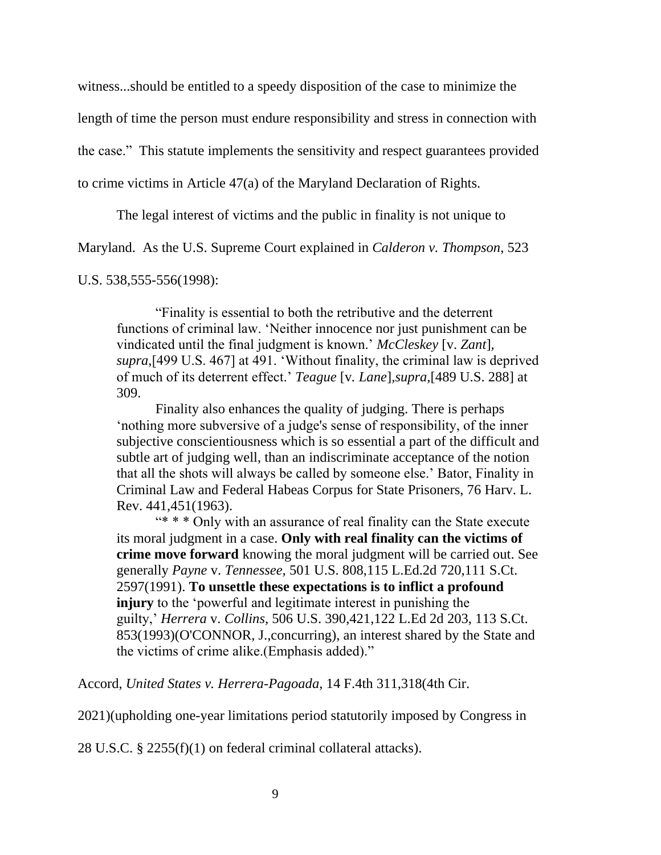witness...should be entitled to a speedy disposition of the case to minimize the

length of time the person must endure responsibility and stress in connection with

the case." This statute implements the sensitivity and respect guarantees provided

to crime victims in Article 47(a) of the Maryland Declaration of Rights.

The legal interest of victims and the public in finality is not unique to

Maryland. As the U.S. Supreme Court explained in *Calderon v. Thompson*, 523

U.S. 538,555-556(1998):

"Finality is essential to both the retributive and the deterrent functions of criminal law. 'Neither innocence nor just punishment can be vindicated until the final judgment is known.' *McCleskey* [v. *Zant*]*, supra,*[499 U.S. 467] at 491. 'Without finality, the criminal law is deprived of much of its deterrent effect.' *Teague* [v*. Lane*]*,supra,*[489 U.S. 288] at 309.

Finality also enhances the quality of judging. There is perhaps 'nothing more subversive of a judge's sense of responsibility, of the inner subjective conscientiousness which is so essential a part of the difficult and subtle art of judging well, than an indiscriminate acceptance of the notion that all the shots will always be called by someone else.' Bator, Finality in Criminal Law and Federal Habeas Corpus for State Prisoners, 76 Harv. L. Rev. 441,451(1963).

"\* \* \* Only with an assurance of real finality can the State execute its moral judgment in a case. **Only with real finality can the victims of crime move forward** knowing the moral judgment will be carried out. See generally *Payne* v. *Tennessee,* 501 U.S. 808,115 L.Ed.2d 720,111 S.Ct. 2597(1991). **To unsettle these expectations is to inflict a profound injury** to the 'powerful and legitimate interest in punishing the guilty,' *Herrera* v. *Collins,* 506 U.S. 390,421,122 L.Ed 2d 203, 113 S.Ct. 853(1993)(O'CONNOR, J.,concurring), an interest shared by the State and the victims of crime alike.(Emphasis added)."

Accord, *United States v. Herrera-Pagoada*, 14 F.4th 311,318(4th Cir.

2021)(upholding one-year limitations period statutorily imposed by Congress in

28 U.S.C. § 2255(f)(1) on federal criminal collateral attacks).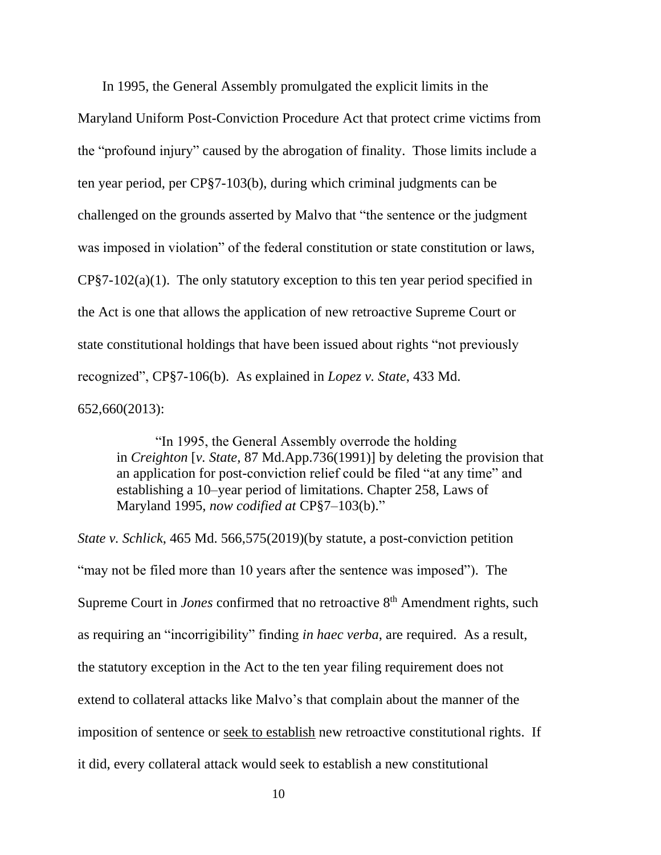In 1995, the General Assembly promulgated the explicit limits in the

Maryland Uniform Post-Conviction Procedure Act that protect crime victims from the "profound injury" caused by the abrogation of finality. Those limits include a ten year period, per CP§7-103(b), during which criminal judgments can be challenged on the grounds asserted by Malvo that "the sentence or the judgment was imposed in violation" of the federal constitution or state constitution or laws, CP§7-102(a)(1). The only statutory exception to this ten year period specified in the Act is one that allows the application of new retroactive Supreme Court or state constitutional holdings that have been issued about rights "not previously recognized", CP§7-106(b). As explained in *Lopez v. State*, 433 Md. 652,660(2013):

"In 1995, the General Assembly overrode the holding in *Creighton* [*v. State,* 87 Md.App.736(1991)] by deleting the provision that an application for post-conviction relief could be filed "at any time" and establishing a 10–year period of limitations. Chapter 258, Laws of Maryland 1995, *now codified at* CP§7–103(b)."

*State v. Schlick*, 465 Md. 566,575(2019)(by statute, a post-conviction petition "may not be filed more than 10 years after the sentence was imposed"). The Supreme Court in *Jones* confirmed that no retroactive 8<sup>th</sup> Amendment rights, such as requiring an "incorrigibility" finding *in haec verba*, are required. As a result, the statutory exception in the Act to the ten year filing requirement does not extend to collateral attacks like Malvo's that complain about the manner of the imposition of sentence or seek to establish new retroactive constitutional rights. If it did, every collateral attack would seek to establish a new constitutional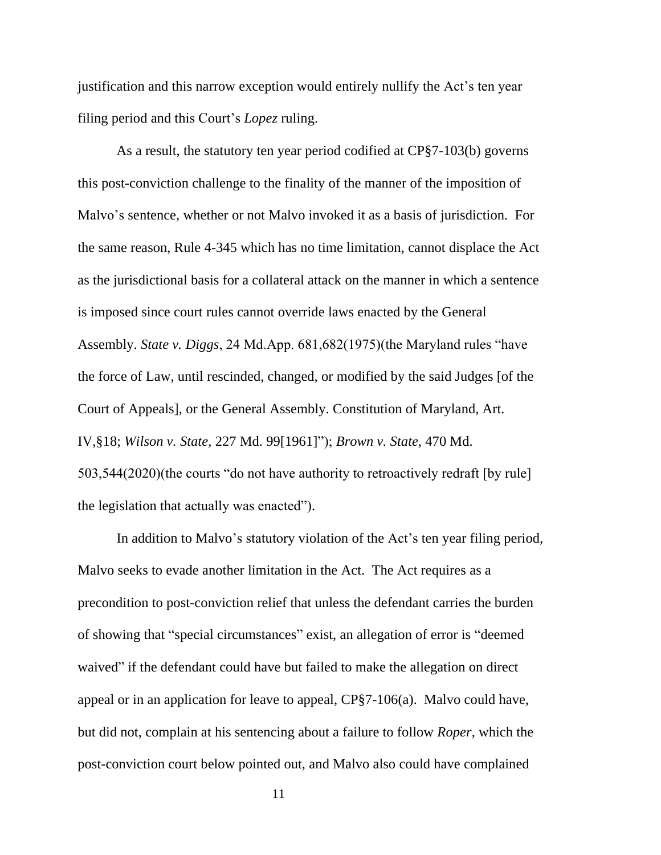justification and this narrow exception would entirely nullify the Act's ten year filing period and this Court's *Lopez* ruling.

As a result, the statutory ten year period codified at CP§7-103(b) governs this post-conviction challenge to the finality of the manner of the imposition of Malvo's sentence, whether or not Malvo invoked it as a basis of jurisdiction. For the same reason, Rule 4-345 which has no time limitation, cannot displace the Act as the jurisdictional basis for a collateral attack on the manner in which a sentence is imposed since court rules cannot override laws enacted by the General Assembly. *State v. Diggs*, 24 Md.App. 681,682(1975)(the Maryland rules "have the force of Law, until rescinded, changed, or modified by the said Judges [of the Court of Appeals], or the General Assembly. Constitution of Maryland, Art. IV,§18; *Wilson v. State,* 227 Md. 99[1961]"); *Brown v. State,* 470 Md. 503,544(2020)(the courts "do not have authority to retroactively redraft [by rule] the legislation that actually was enacted").

In addition to Malvo's statutory violation of the Act's ten year filing period, Malvo seeks to evade another limitation in the Act. The Act requires as a precondition to post-conviction relief that unless the defendant carries the burden of showing that "special circumstances" exist, an allegation of error is "deemed waived" if the defendant could have but failed to make the allegation on direct appeal or in an application for leave to appeal, CP§7-106(a). Malvo could have, but did not, complain at his sentencing about a failure to follow *Roper,* which the post-conviction court below pointed out, and Malvo also could have complained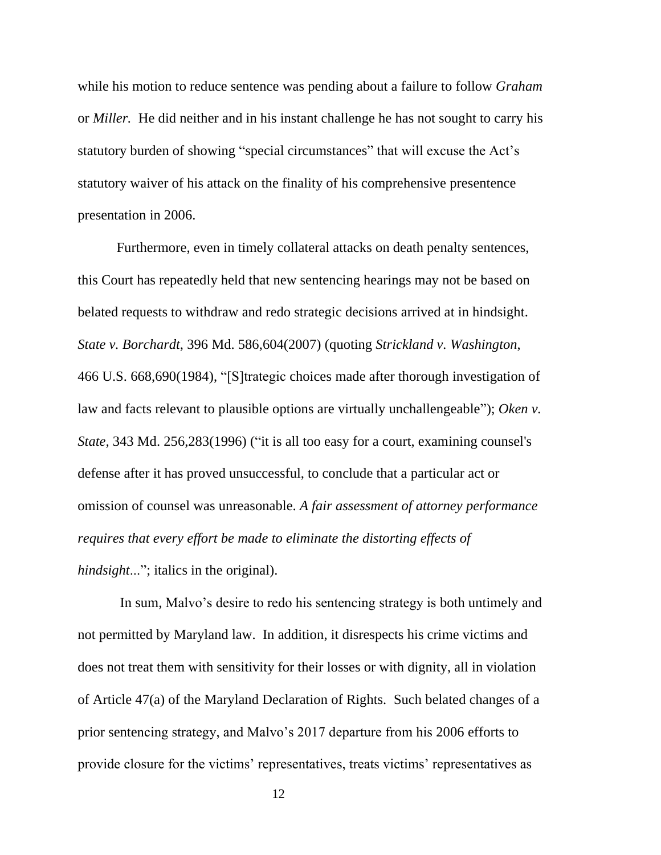while his motion to reduce sentence was pending about a failure to follow *Graham* or *Miller.* He did neither and in his instant challenge he has not sought to carry his statutory burden of showing "special circumstances" that will excuse the Act's statutory waiver of his attack on the finality of his comprehensive presentence presentation in 2006.

Furthermore, even in timely collateral attacks on death penalty sentences, this Court has repeatedly held that new sentencing hearings may not be based on belated requests to withdraw and redo strategic decisions arrived at in hindsight. *State v. Borchardt*, 396 Md. 586,604(2007) (quoting *Strickland v. Washington*, 466 U.S. 668,690(1984), "[S]trategic choices made after thorough investigation of law and facts relevant to plausible options are virtually unchallengeable"); *Oken v. State,* 343 Md. 256,283(1996) ("it is all too easy for a court, examining counsel's defense after it has proved unsuccessful, to conclude that a particular act or omission of counsel was unreasonable. *A fair assessment of attorney performance requires that every effort be made to eliminate the distorting effects of hindsight*..."; italics in the original).

In sum, Malvo's desire to redo his sentencing strategy is both untimely and not permitted by Maryland law. In addition, it disrespects his crime victims and does not treat them with sensitivity for their losses or with dignity, all in violation of Article 47(a) of the Maryland Declaration of Rights. Such belated changes of a prior sentencing strategy, and Malvo's 2017 departure from his 2006 efforts to provide closure for the victims' representatives, treats victims' representatives as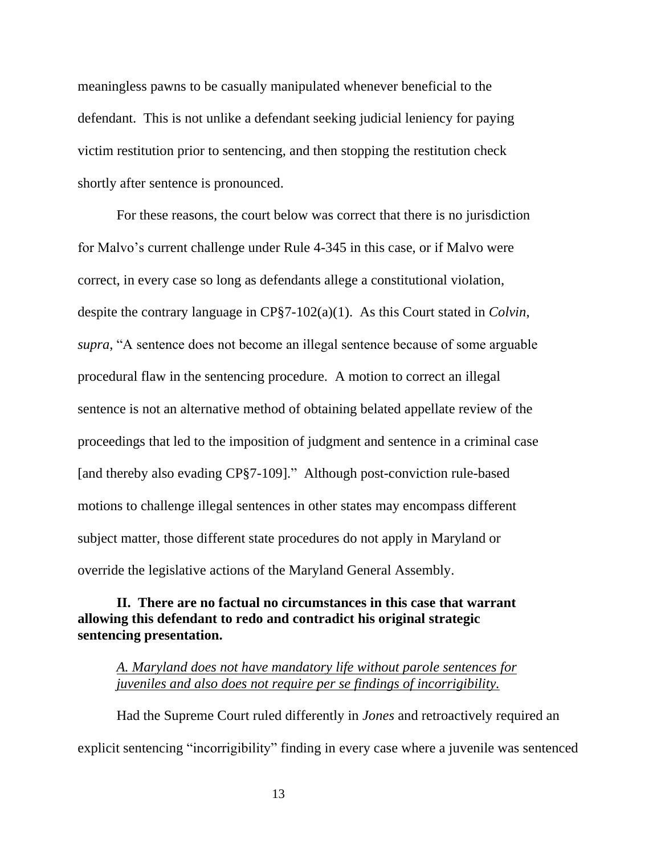meaningless pawns to be casually manipulated whenever beneficial to the defendant. This is not unlike a defendant seeking judicial leniency for paying victim restitution prior to sentencing, and then stopping the restitution check shortly after sentence is pronounced.

For these reasons, the court below was correct that there is no jurisdiction for Malvo's current challenge under Rule 4-345 in this case, or if Malvo were correct, in every case so long as defendants allege a constitutional violation, despite the contrary language in CP§7-102(a)(1). As this Court stated in *Colvin*, *supra*, "A sentence does not become an illegal sentence because of some arguable procedural flaw in the sentencing procedure. A motion to correct an illegal sentence is not an alternative method of obtaining belated appellate review of the proceedings that led to the imposition of judgment and sentence in a criminal case [and thereby also evading CP§7-109]." Although post-conviction rule-based motions to challenge illegal sentences in other states may encompass different subject matter, those different state procedures do not apply in Maryland or override the legislative actions of the Maryland General Assembly.

### **II. There are no factual no circumstances in this case that warrant allowing this defendant to redo and contradict his original strategic sentencing presentation.**

#### *A. Maryland does not have mandatory life without parole sentences for juveniles and also does not require per se findings of incorrigibility.*

Had the Supreme Court ruled differently in *Jones* and retroactively required an explicit sentencing "incorrigibility" finding in every case where a juvenile was sentenced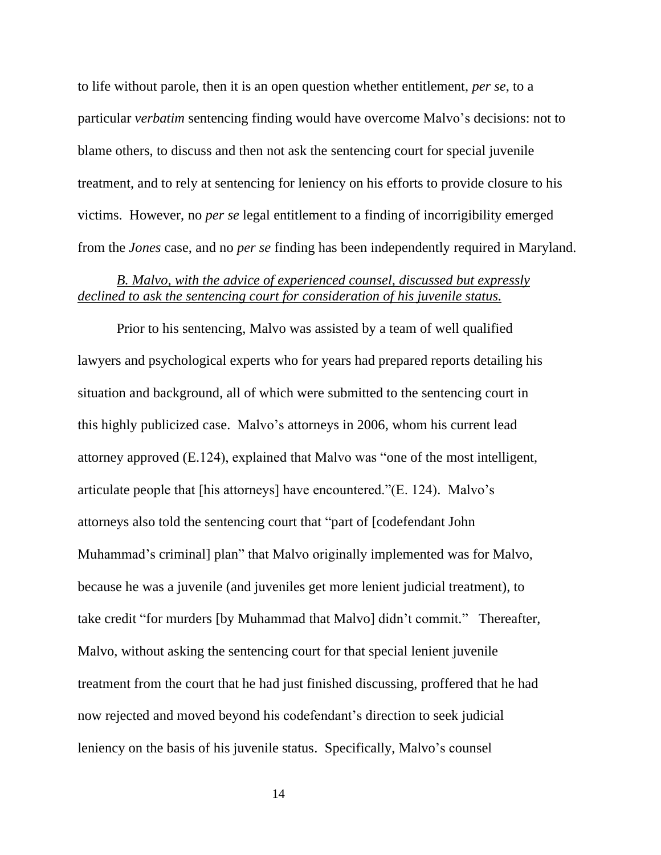to life without parole, then it is an open question whether entitlement, *per se*, to a particular *verbatim* sentencing finding would have overcome Malvo's decisions: not to blame others, to discuss and then not ask the sentencing court for special juvenile treatment, and to rely at sentencing for leniency on his efforts to provide closure to his victims. However, no *per se* legal entitlement to a finding of incorrigibility emerged from the *Jones* case, and no *per se* finding has been independently required in Maryland.

### *B. Malvo, with the advice of experienced counsel, discussed but expressly declined to ask the sentencing court for consideration of his juvenile status.*

Prior to his sentencing, Malvo was assisted by a team of well qualified lawyers and psychological experts who for years had prepared reports detailing his situation and background, all of which were submitted to the sentencing court in this highly publicized case. Malvo's attorneys in 2006, whom his current lead attorney approved (E.124), explained that Malvo was "one of the most intelligent, articulate people that [his attorneys] have encountered."(E. 124). Malvo's attorneys also told the sentencing court that "part of [codefendant John Muhammad's criminal] plan" that Malvo originally implemented was for Malvo, because he was a juvenile (and juveniles get more lenient judicial treatment), to take credit "for murders [by Muhammad that Malvo] didn't commit." Thereafter, Malvo, without asking the sentencing court for that special lenient juvenile treatment from the court that he had just finished discussing, proffered that he had now rejected and moved beyond his codefendant's direction to seek judicial leniency on the basis of his juvenile status. Specifically, Malvo's counsel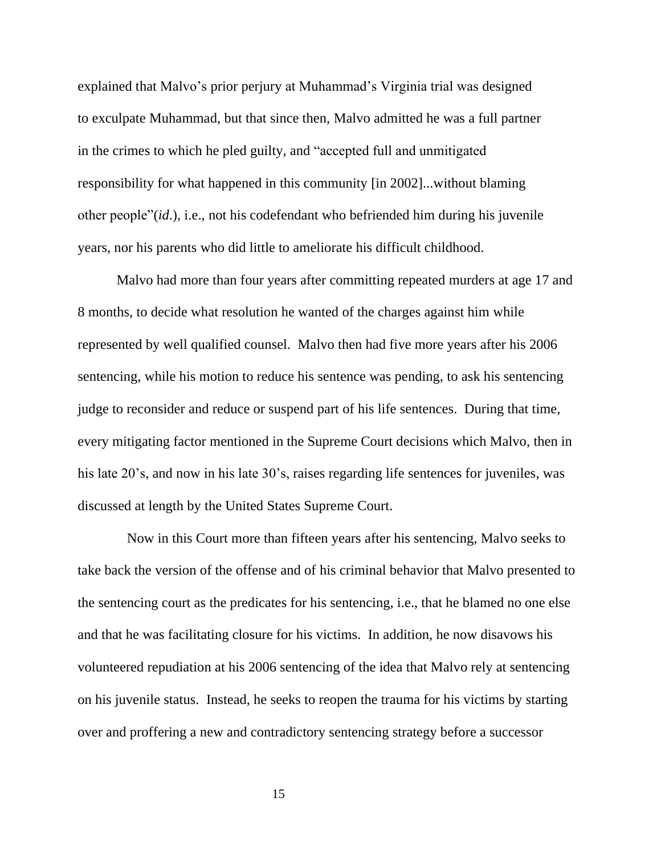explained that Malvo's prior perjury at Muhammad's Virginia trial was designed to exculpate Muhammad, but that since then, Malvo admitted he was a full partner in the crimes to which he pled guilty, and "accepted full and unmitigated responsibility for what happened in this community [in 2002]...without blaming other people"(*id*.), i.e., not his codefendant who befriended him during his juvenile years, nor his parents who did little to ameliorate his difficult childhood.

Malvo had more than four years after committing repeated murders at age 17 and 8 months, to decide what resolution he wanted of the charges against him while represented by well qualified counsel. Malvo then had five more years after his 2006 sentencing, while his motion to reduce his sentence was pending, to ask his sentencing judge to reconsider and reduce or suspend part of his life sentences. During that time, every mitigating factor mentioned in the Supreme Court decisions which Malvo, then in his late 20's, and now in his late 30's, raises regarding life sentences for juveniles, was discussed at length by the United States Supreme Court.

 Now in this Court more than fifteen years after his sentencing, Malvo seeks to take back the version of the offense and of his criminal behavior that Malvo presented to the sentencing court as the predicates for his sentencing, i.e., that he blamed no one else and that he was facilitating closure for his victims. In addition, he now disavows his volunteered repudiation at his 2006 sentencing of the idea that Malvo rely at sentencing on his juvenile status. Instead, he seeks to reopen the trauma for his victims by starting over and proffering a new and contradictory sentencing strategy before a successor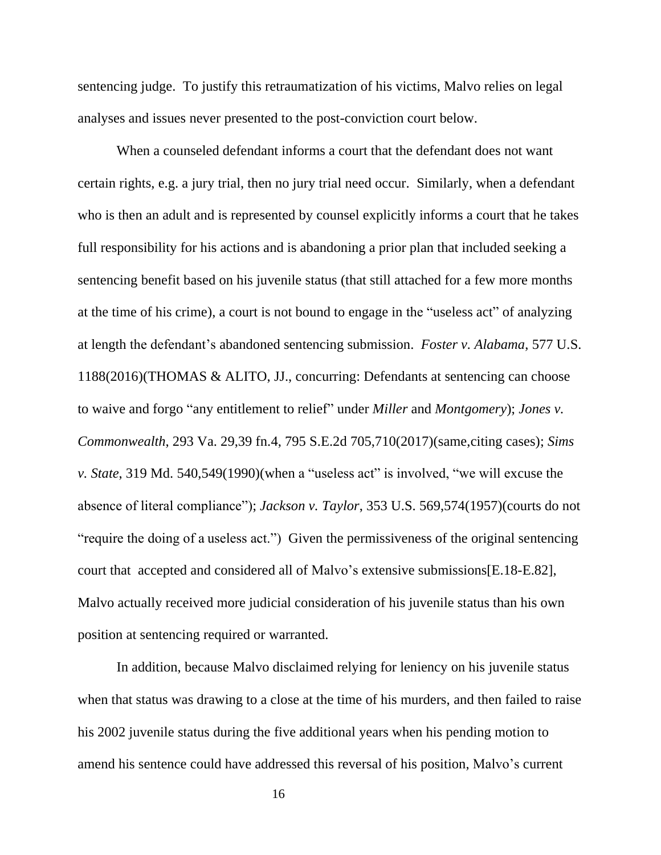sentencing judge. To justify this retraumatization of his victims, Malvo relies on legal analyses and issues never presented to the post-conviction court below.

When a counseled defendant informs a court that the defendant does not want certain rights, e.g. a jury trial, then no jury trial need occur. Similarly, when a defendant who is then an adult and is represented by counsel explicitly informs a court that he takes full responsibility for his actions and is abandoning a prior plan that included seeking a sentencing benefit based on his juvenile status (that still attached for a few more months at the time of his crime), a court is not bound to engage in the "useless act" of analyzing at length the defendant's abandoned sentencing submission. *Foster v. Alabama*, 577 U.S. 1188(2016)(THOMAS & ALITO, JJ., concurring: Defendants at sentencing can choose to waive and forgo "any entitlement to relief" under *Miller* and *Montgomery*); *Jones v. Commonwealth*, 293 Va. 29,39 fn.4, 795 S.E.2d 705,710(2017)(same,citing cases); *[Sims](https://advance.lexis.com/api/document/collection/cases/id/3RX4-3JT0-003G-21KX-00000-00?page=549&reporter=3200&cite=319%20Md.%20540&context=1000516)  v. State*[, 319 Md. 540,549\(1990\)\(](https://advance.lexis.com/api/document/collection/cases/id/3RX4-3JT0-003G-21KX-00000-00?page=549&reporter=3200&cite=319%20Md.%20540&context=1000516)when a "useless act" is involved, "we will excuse the absence of literal compliance"); *Jackson v. Taylor*, 353 U.S. 569,574(1957)(courts do not "require the doing of a useless act.") Given the permissiveness of the original sentencing court that accepted and considered all of Malvo's extensive submissions[E.18-E.82], Malvo actually received more judicial consideration of his juvenile status than his own position at sentencing required or warranted.

In addition, because Malvo disclaimed relying for leniency on his juvenile status when that status was drawing to a close at the time of his murders, and then failed to raise his 2002 juvenile status during the five additional years when his pending motion to amend his sentence could have addressed this reversal of his position, Malvo's current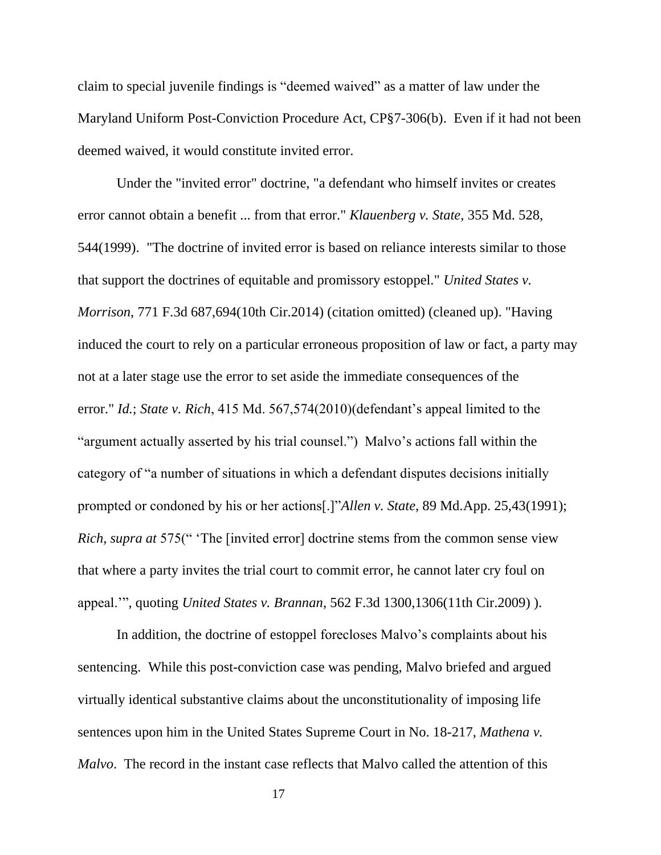claim to special juvenile findings is "deemed waived" as a matter of law under the Maryland Uniform Post-Conviction Procedure Act, CP§7-306(b). Even if it had not been deemed waived, it would constitute invited error.

Under the "invited error" doctrine, "a defendant who himself invites or creates error cannot obtain a benefit ... from that error." *Klauenberg v. State*, 355 Md. 528, 544(1999). "The doctrine of invited error is based on reliance interests similar to those that support the doctrines of equitable and promissory estoppel." *United States v. Morrison*, 771 F.3d 687,694(10th Cir.2014) (citation omitted) (cleaned up). "Having induced the court to rely on a particular erroneous proposition of law or fact, a party may not at a later stage use the error to set aside the immediate consequences of the error." *Id.*; *State v. Rich*, 415 Md. 567,574(2010)(defendant's appeal limited to the "argument actually asserted by his trial counsel.") Malvo's actions fall within the category of "a number of situations in which a defendant disputes decisions initially prompted or condoned by his or her actions[.]"*Allen v. State*, 89 Md.App. 25,43(1991); *Rich, supra at* 575(" 'The [invited error] doctrine stems from the common sense view that where a party invites the trial court to commit error, he cannot later cry foul on appeal.'", quoting *United States v. Brannan*, 562 F.3d 1300,1306(11th Cir.2009) ).

In addition, the doctrine of estoppel forecloses Malvo's complaints about his sentencing. While this post-conviction case was pending, Malvo briefed and argued virtually identical substantive claims about the unconstitutionality of imposing life sentences upon him in the United States Supreme Court in No. 18-217, *Mathena v. Malvo*. The record in the instant case reflects that Malvo called the attention of this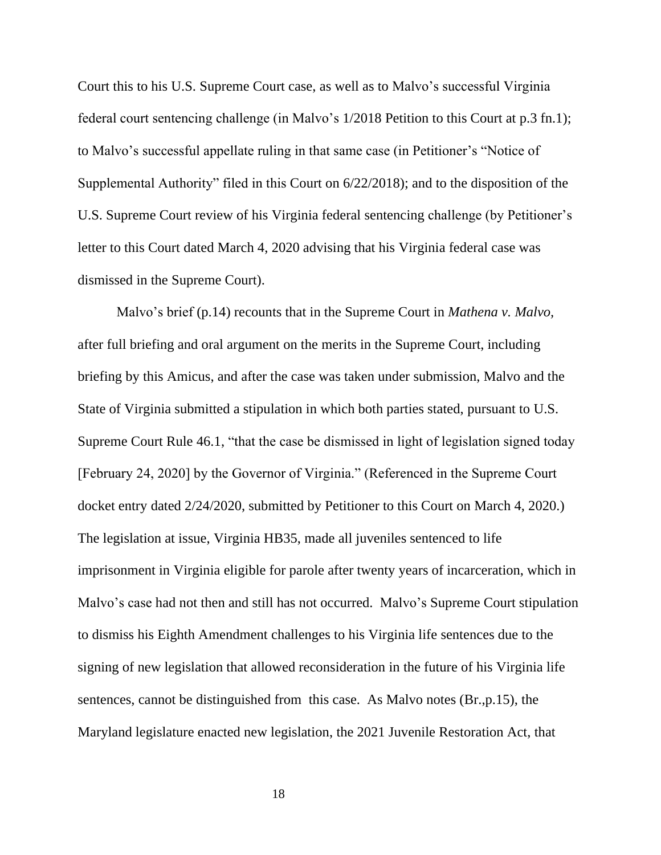Court this to his U.S. Supreme Court case, as well as to Malvo's successful Virginia federal court sentencing challenge (in Malvo's 1/2018 Petition to this Court at p.3 fn.1); to Malvo's successful appellate ruling in that same case (in Petitioner's "Notice of Supplemental Authority" filed in this Court on 6/22/2018); and to the disposition of the U.S. Supreme Court review of his Virginia federal sentencing challenge (by Petitioner's letter to this Court dated March 4, 2020 advising that his Virginia federal case was dismissed in the Supreme Court).

Malvo's brief (p.14) recounts that in the Supreme Court in *Mathena v. Malvo,* after full briefing and oral argument on the merits in the Supreme Court, including briefing by this Amicus, and after the case was taken under submission, Malvo and the State of Virginia submitted a stipulation in which both parties stated, pursuant to U.S. Supreme Court Rule 46.1, "that the case be dismissed in light of legislation signed today [February 24, 2020] by the Governor of Virginia." (Referenced in the Supreme Court docket entry dated 2/24/2020, submitted by Petitioner to this Court on March 4, 2020.) The legislation at issue, Virginia HB35, made all juveniles sentenced to life imprisonment in Virginia eligible for parole after twenty years of incarceration, which in Malvo's case had not then and still has not occurred. Malvo's Supreme Court stipulation to dismiss his Eighth Amendment challenges to his Virginia life sentences due to the signing of new legislation that allowed reconsideration in the future of his Virginia life sentences, cannot be distinguished from this case. As Malvo notes (Br.,p.15), the Maryland legislature enacted new legislation, the 2021 Juvenile Restoration Act, that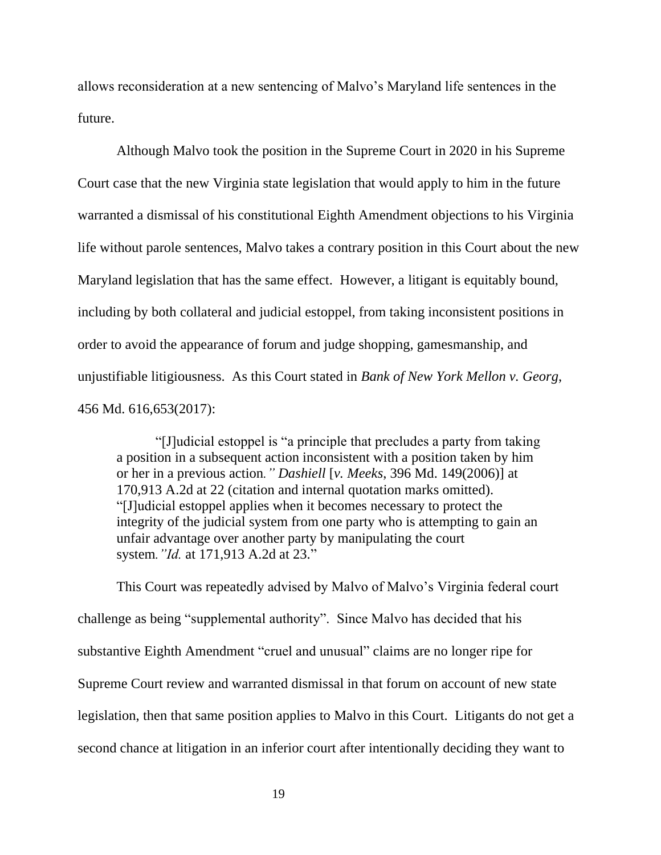allows reconsideration at a new sentencing of Malvo's Maryland life sentences in the future.

Although Malvo took the position in the Supreme Court in 2020 in his Supreme Court case that the new Virginia state legislation that would apply to him in the future warranted a dismissal of his constitutional Eighth Amendment objections to his Virginia life without parole sentences, Malvo takes a contrary position in this Court about the new Maryland legislation that has the same effect. However, a litigant is equitably bound, including by both collateral and judicial estoppel, from taking inconsistent positions in order to avoid the appearance of forum and judge shopping, gamesmanship, and unjustifiable litigiousness. As this Court stated in *Bank of New York Mellon v. Georg*, 456 Md. 616,653(2017):

"[J]udicial estoppel is "a principle that precludes a party from taking a position in a subsequent action inconsistent with a position taken by him or her in a previous action*." Dashiell* [*v. Meeks*, 396 Md. 149(2006)] at 170,913 A.2d at 22 (citation and internal quotation marks omitted). "[J]udicial estoppel applies when it becomes necessary to protect the integrity of the judicial system from one party who is attempting to gain an unfair advantage over another party by manipulating the court system*."Id.* at 171,913 A.2d at 23."

This Court was repeatedly advised by Malvo of Malvo's Virginia federal court challenge as being "supplemental authority". Since Malvo has decided that his substantive Eighth Amendment "cruel and unusual" claims are no longer ripe for Supreme Court review and warranted dismissal in that forum on account of new state legislation, then that same position applies to Malvo in this Court. Litigants do not get a second chance at litigation in an inferior court after intentionally deciding they want to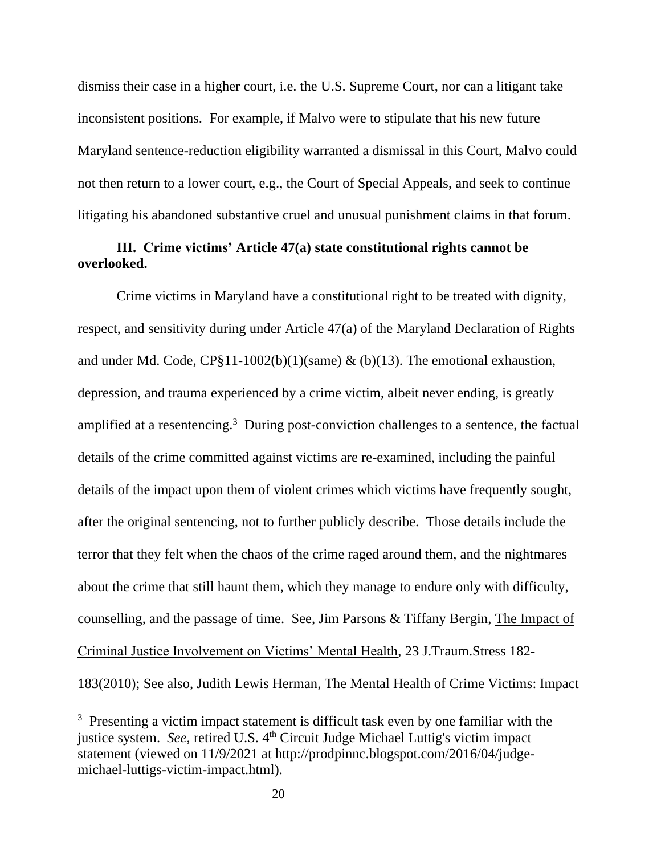dismiss their case in a higher court, i.e. the U.S. Supreme Court, nor can a litigant take inconsistent positions. For example, if Malvo were to stipulate that his new future Maryland sentence-reduction eligibility warranted a dismissal in this Court, Malvo could not then return to a lower court, e.g., the Court of Special Appeals, and seek to continue litigating his abandoned substantive cruel and unusual punishment claims in that forum.

### **III. Crime victims' Article 47(a) state constitutional rights cannot be overlooked.**

Crime victims in Maryland have a constitutional right to be treated with dignity, respect, and sensitivity during under Article 47(a) of the Maryland Declaration of Rights and under Md. Code,  $CP\S11-1002(b)(1)(same)$  & (b)(13). The emotional exhaustion, depression, and trauma experienced by a crime victim, albeit never ending, is greatly amplified at a resentencing.<sup>3</sup> During post-conviction challenges to a sentence, the factual details of the crime committed against victims are re-examined, including the painful details of the impact upon them of violent crimes which victims have frequently sought, after the original sentencing, not to further publicly describe. Those details include the terror that they felt when the chaos of the crime raged around them, and the nightmares about the crime that still haunt them, which they manage to endure only with difficulty, counselling, and the passage of time. See, Jim Parsons & Tiffany Bergin, The Impact of Criminal Justice Involvement on Victims' Mental Health, 23 J.Traum.Stress 182- 183(2010); See also, Judith Lewis Herman, The Mental Health of Crime Victims: Impact

<sup>&</sup>lt;sup>3</sup> Presenting a victim impact statement is difficult task even by one familiar with the justice system. *See*, retired U.S. 4<sup>th</sup> Circuit Judge Michael Luttig's victim impact statement (viewed on 11/9/2021 at http://prodpinnc.blogspot.com/2016/04/judgemichael-luttigs-victim-impact.html).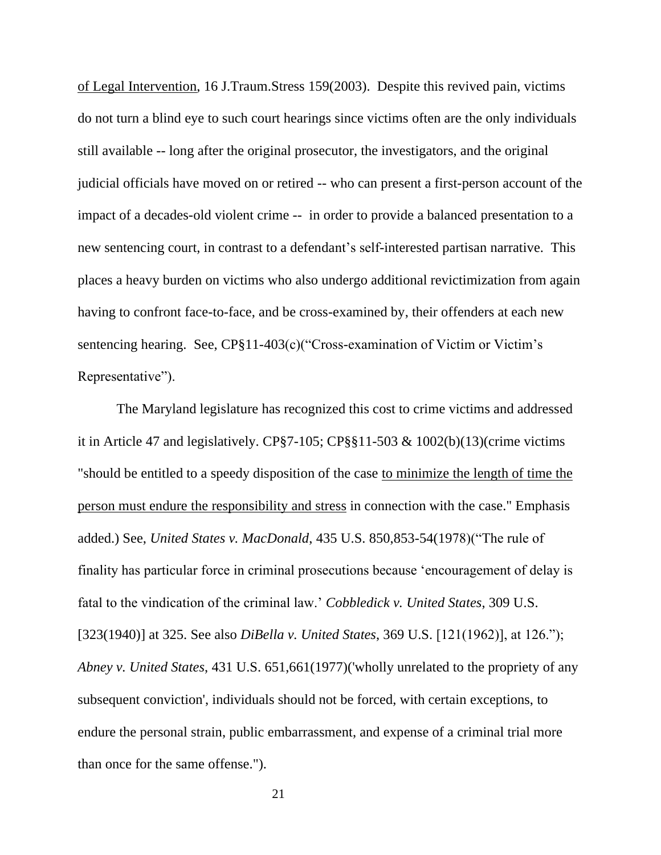of Legal Intervention, 16 J.Traum.Stress 159(2003). Despite this revived pain, victims do not turn a blind eye to such court hearings since victims often are the only individuals still available -- long after the original prosecutor, the investigators, and the original judicial officials have moved on or retired -- who can present a first-person account of the impact of a decades-old violent crime -- in order to provide a balanced presentation to a new sentencing court, in contrast to a defendant's self-interested partisan narrative. This places a heavy burden on victims who also undergo additional revictimization from again having to confront face-to-face, and be cross-examined by, their offenders at each new sentencing hearing. See, CP§11-403(c)("Cross-examination of Victim or Victim's Representative").

The Maryland legislature has recognized this cost to crime victims and addressed it in Article 47 and legislatively. CP§7-105; CP§§11-503 & 1002(b)(13)(crime victims "should be entitled to a speedy disposition of the case to minimize the length of time the person must endure the responsibility and stress in connection with the case." Emphasis added.) See, *United States v. MacDonald*, 435 U.S. 850,853-54(1978)("The rule of finality has particular force in criminal prosecutions because 'encouragement of delay is fatal to the vindication of the criminal law.' *Cobbledick v. United States*, 309 U.S. [323(1940)] at 325. See also *DiBella v. United States*, 369 U.S. [121(1962)], at 126."); *Abney v. United States*, 431 U.S. 651,661(1977)('wholly unrelated to the propriety of any subsequent conviction', individuals should not be forced, with certain exceptions, to endure the personal strain, public embarrassment, and expense of a criminal trial more than once for the same offense.").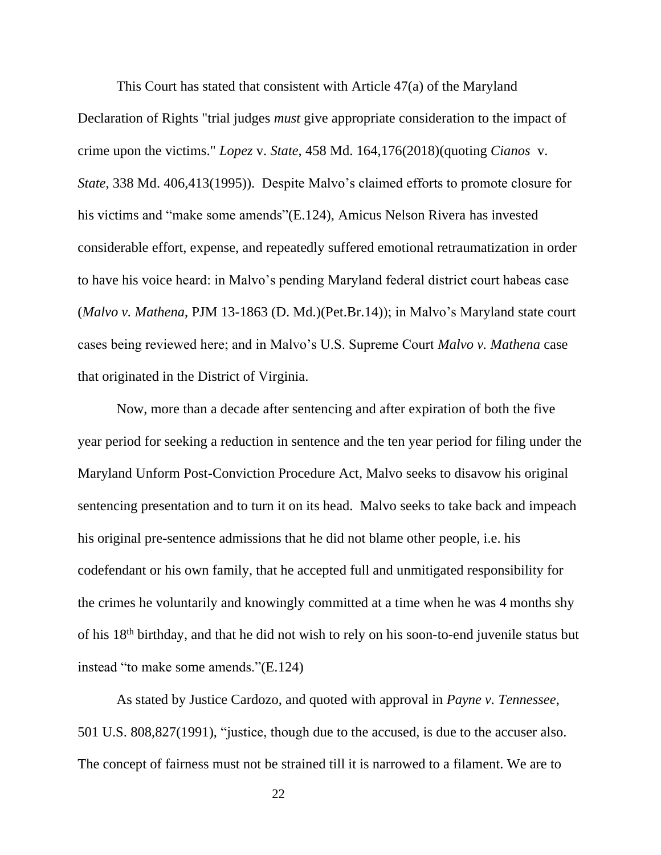This Court has stated that consistent with Article 47(a) of the Maryland Declaration of Rights "trial judges *must* give appropriate consideration to the impact of crime upon the victims." *Lopez* v. *State*, 458 Md. 164,176(2018)(quoting *Cianos* v. *State*, 338 Md. 406,413(1995)). Despite Malvo's claimed efforts to promote closure for his victims and "make some amends"(E.124), Amicus Nelson Rivera has invested considerable effort, expense, and repeatedly suffered emotional retraumatization in order to have his voice heard: in Malvo's pending Maryland federal district court habeas case (*Malvo v. Mathena*, PJM 13-1863 (D. Md.)(Pet.Br.14)); in Malvo's Maryland state court cases being reviewed here; and in Malvo's U.S. Supreme Court *Malvo v. Mathena* case that originated in the District of Virginia.

Now, more than a decade after sentencing and after expiration of both the five year period for seeking a reduction in sentence and the ten year period for filing under the Maryland Unform Post-Conviction Procedure Act, Malvo seeks to disavow his original sentencing presentation and to turn it on its head. Malvo seeks to take back and impeach his original pre-sentence admissions that he did not blame other people, i.e. his codefendant or his own family, that he accepted full and unmitigated responsibility for the crimes he voluntarily and knowingly committed at a time when he was 4 months shy of his 18th birthday, and that he did not wish to rely on his soon-to-end juvenile status but instead "to make some amends."(E.124)

As stated by Justice Cardozo, and quoted with approval in *Payne v. Tennessee*, 501 U.S. 808,827(1991), "justice, though due to the accused, is due to the accuser also. The concept of fairness must not be strained till it is narrowed to a filament. We are to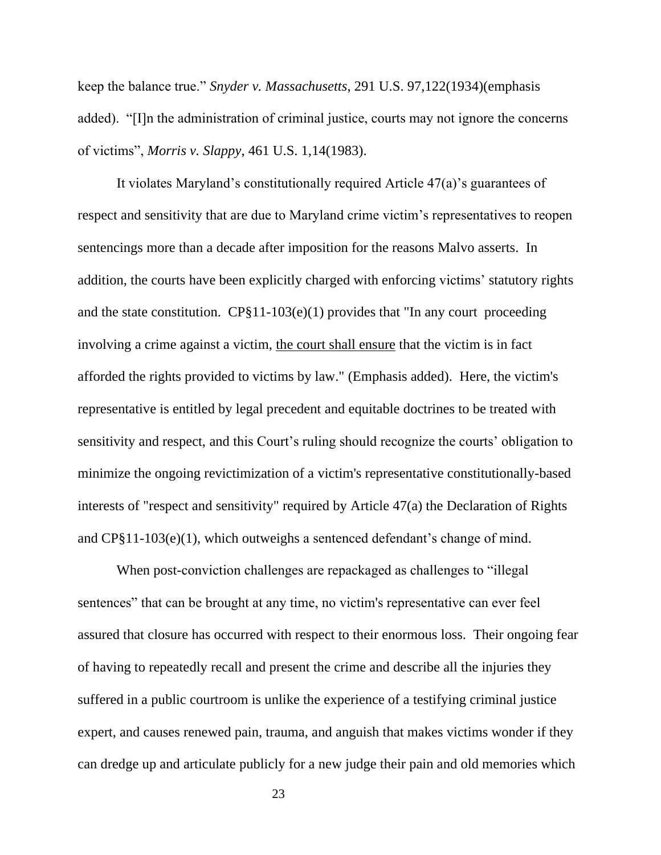keep the balance true." *Snyder v. Massachusetts*, 291 U.S. 97,122(1934)(emphasis added). "[I]n the administration of criminal justice, courts may not ignore the concerns of victims", *Morris v. Slappy*, 461 U.S. 1,14(1983).

It violates Maryland's constitutionally required Article 47(a)'s guarantees of respect and sensitivity that are due to Maryland crime victim's representatives to reopen sentencings more than a decade after imposition for the reasons Malvo asserts. In addition, the courts have been explicitly charged with enforcing victims' statutory rights and the state constitution.  $CP\S11-103(e)(1)$  provides that "In any court proceeding involving a crime against a victim, the court shall ensure that the victim is in fact afforded the rights provided to victims by law." (Emphasis added). Here, the victim's representative is entitled by legal precedent and equitable doctrines to be treated with sensitivity and respect, and this Court's ruling should recognize the courts' obligation to minimize the ongoing revictimization of a victim's representative constitutionally-based interests of "respect and sensitivity" required by Article 47(a) the Declaration of Rights and CP§11-103(e)(1), which outweighs a sentenced defendant's change of mind.

When post-conviction challenges are repackaged as challenges to "illegal sentences" that can be brought at any time, no victim's representative can ever feel assured that closure has occurred with respect to their enormous loss. Their ongoing fear of having to repeatedly recall and present the crime and describe all the injuries they suffered in a public courtroom is unlike the experience of a testifying criminal justice expert, and causes renewed pain, trauma, and anguish that makes victims wonder if they can dredge up and articulate publicly for a new judge their pain and old memories which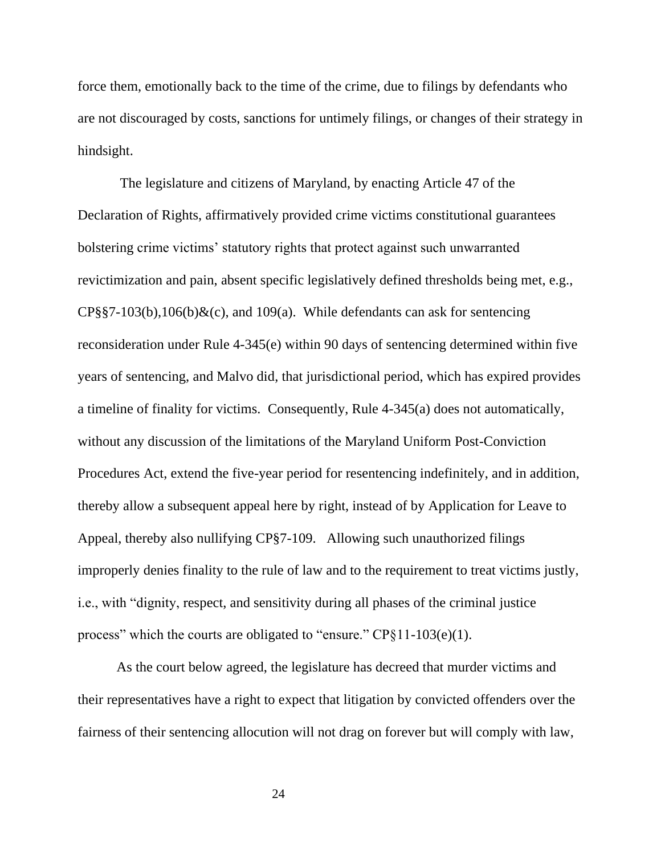force them, emotionally back to the time of the crime, due to filings by defendants who are not discouraged by costs, sanctions for untimely filings, or changes of their strategy in hindsight.

The legislature and citizens of Maryland, by enacting Article 47 of the Declaration of Rights, affirmatively provided crime victims constitutional guarantees bolstering crime victims' statutory rights that protect against such unwarranted revictimization and pain, absent specific legislatively defined thresholds being met, e.g.,  $CP\$ §§7-103(b),106(b)&(c), and 109(a). While defendants can ask for sentencing reconsideration under Rule 4-345(e) within 90 days of sentencing determined within five years of sentencing, and Malvo did, that jurisdictional period, which has expired provides a timeline of finality for victims. Consequently, Rule 4-345(a) does not automatically, without any discussion of the limitations of the Maryland Uniform Post-Conviction Procedures Act, extend the five-year period for resentencing indefinitely, and in addition, thereby allow a subsequent appeal here by right, instead of by Application for Leave to Appeal, thereby also nullifying CP§7-109. Allowing such unauthorized filings improperly denies finality to the rule of law and to the requirement to treat victims justly, i.e., with "dignity, respect, and sensitivity during all phases of the criminal justice process" which the courts are obligated to "ensure." CP§11-103(e)(1).

As the court below agreed, the legislature has decreed that murder victims and their representatives have a right to expect that litigation by convicted offenders over the fairness of their sentencing allocution will not drag on forever but will comply with law,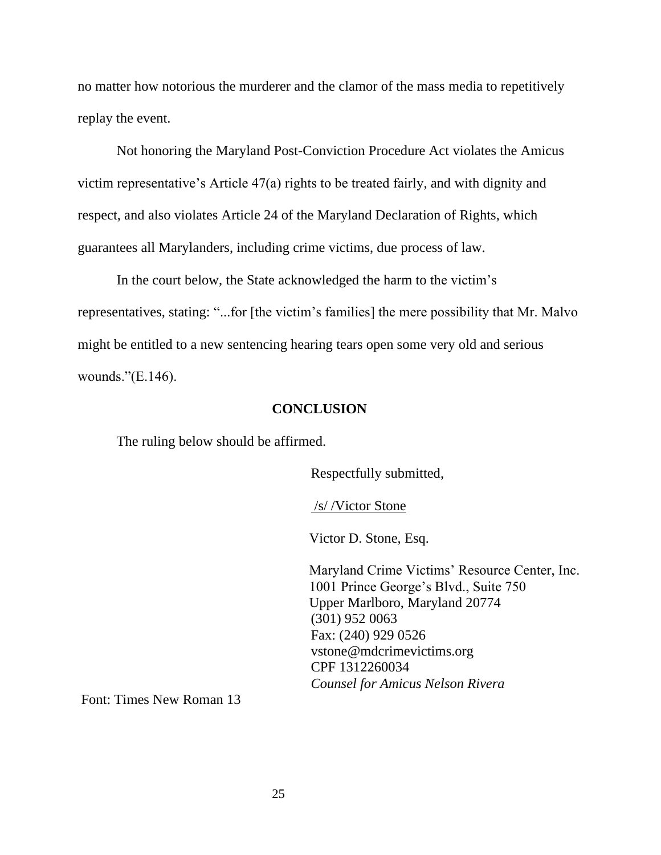no matter how notorious the murderer and the clamor of the mass media to repetitively replay the event.

Not honoring the Maryland Post-Conviction Procedure Act violates the Amicus victim representative's Article 47(a) rights to be treated fairly, and with dignity and respect, and also violates Article 24 of the Maryland Declaration of Rights, which guarantees all Marylanders, including crime victims, due process of law.

In the court below, the State acknowledged the harm to the victim's representatives, stating: "...for [the victim's families] the mere possibility that Mr. Malvo might be entitled to a new sentencing hearing tears open some very old and serious wounds."(E.146).

#### **CONCLUSION**

The ruling below should be affirmed.

Respectfully submitted,

/s/ /Victor Stone

Victor D. Stone, Esq.

 Maryland Crime Victims' Resource Center, Inc. 1001 Prince George's Blvd., Suite 750 Upper Marlboro, Maryland 20774 (301) 952 0063 Fax: (240) 929 0526 vstone@mdcrimevictims.org CPF 1312260034 *Counsel for Amicus Nelson Rivera*

Font: Times New Roman 13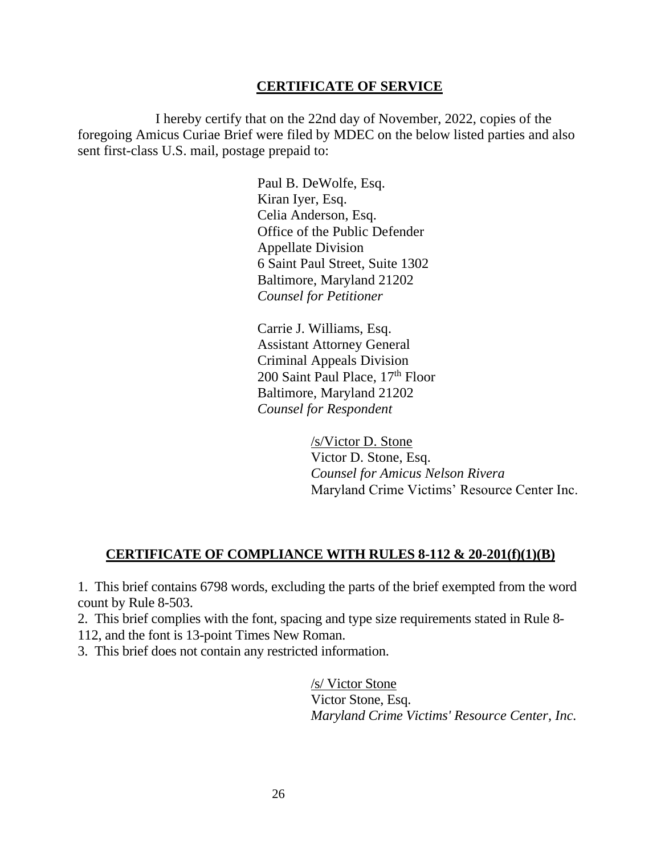#### **CERTIFICATE OF SERVICE**

I hereby certify that on the 22nd day of November, 2022, copies of the foregoing Amicus Curiae Brief were filed by MDEC on the below listed parties and also sent first-class U.S. mail, postage prepaid to:

> Paul B. DeWolfe, Esq. Kiran Iyer, Esq. Celia Anderson, Esq. Office of the Public Defender Appellate Division 6 Saint Paul Street, Suite 1302 Baltimore, Maryland 21202 *Counsel for Petitioner*

Carrie J. Williams, Esq. Assistant Attorney General Criminal Appeals Division 200 Saint Paul Place, 17th Floor Baltimore, Maryland 21202 *Counsel for Respondent*

> /s/Victor D. Stone Victor D. Stone, Esq. *Counsel for Amicus Nelson Rivera* Maryland Crime Victims' Resource Center Inc.

### **CERTIFICATE OF COMPLIANCE WITH RULES 8-112 & 20-201(f)(1)(B)**

1. This brief contains 6798 words, excluding the parts of the brief exempted from the word count by Rule 8-503.

2. This brief complies with the font, spacing and type size requirements stated in Rule 8- 112, and the font is 13-point Times New Roman.

3. This brief does not contain any restricted information.

/s/ Victor Stone Victor Stone, Esq. *Maryland Crime Victims' Resource Center, Inc.*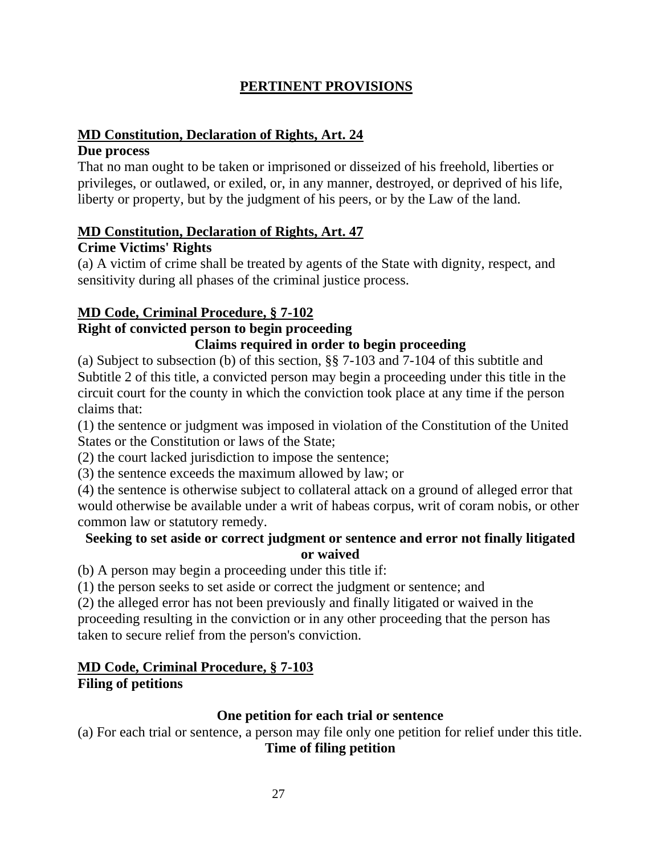## **PERTINENT PROVISIONS**

### **MD Constitution, Declaration of Rights, Art. 24**

### **Due process**

That no man ought to be taken or imprisoned or disseized of his freehold, liberties or privileges, or outlawed, or exiled, or, in any manner, destroyed, or deprived of his life, liberty or property, but by the judgment of his peers, or by the Law of the land.

### **MD Constitution, Declaration of Rights, Art. 47**

### **Crime Victims' Rights**

(a) A victim of crime shall be treated by agents of the State with dignity, respect, and sensitivity during all phases of the criminal justice process.

## **MD Code, Criminal Procedure, § 7-102**

## **Right of convicted person to begin proceeding**

### **Claims required in order to begin proceeding**

(a) Subject to subsection (b) of this section, §§ 7-103 and 7-104 of this subtitle and Subtitle 2 of this title, a convicted person may begin a proceeding under this title in the circuit court for the county in which the conviction took place at any time if the person claims that:

(1) the sentence or judgment was imposed in violation of the Constitution of the United States or the Constitution or laws of the State;

(2) the court lacked jurisdiction to impose the sentence;

(3) the sentence exceeds the maximum allowed by law; or

(4) the sentence is otherwise subject to collateral attack on a ground of alleged error that would otherwise be available under a writ of habeas corpus, writ of coram nobis, or other common law or statutory remedy.

## **Seeking to set aside or correct judgment or sentence and error not finally litigated or waived**

(b) A person may begin a proceeding under this title if:

(1) the person seeks to set aside or correct the judgment or sentence; and

(2) the alleged error has not been previously and finally litigated or waived in the proceeding resulting in the conviction or in any other proceeding that the person has taken to secure relief from the person's conviction.

#### **MD Code, Criminal Procedure, § 7-103 Filing of petitions**

## **One petition for each trial or sentence**

(a) For each trial or sentence, a person may file only one petition for relief under this title. **Time of filing petition**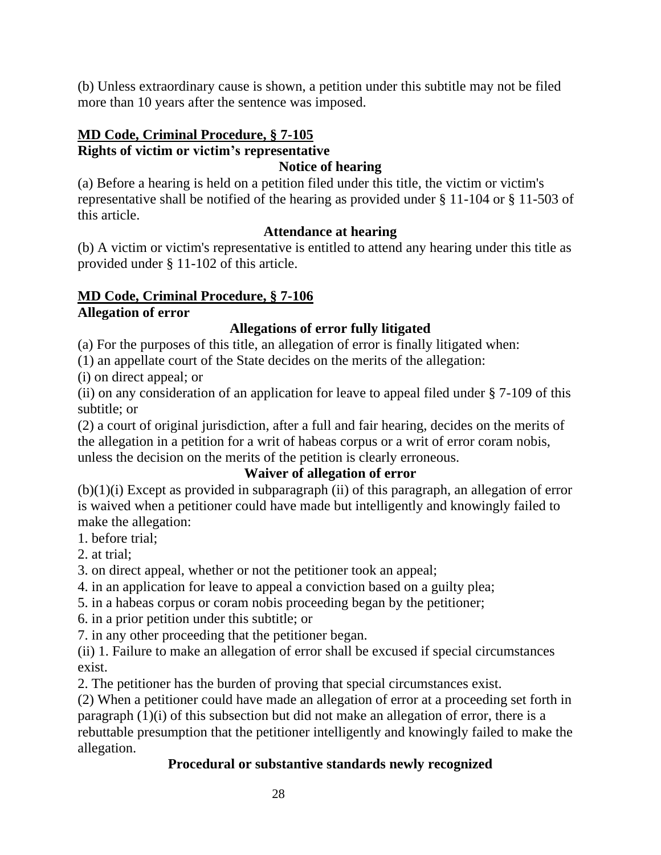(b) Unless extraordinary cause is shown, a petition under this subtitle may not be filed more than 10 years after the sentence was imposed.

# **MD Code, Criminal Procedure, § 7-105 Rights of victim or victim's representative**

### **Notice of hearing**

(a) Before a hearing is held on a petition filed under this title, the victim or victim's representative shall be notified of the hearing as provided under § 11-104 or § 11-503 of this article.

### **Attendance at hearing**

(b) A victim or victim's representative is entitled to attend any hearing under this title as provided under § 11-102 of this article.

#### **MD Code, Criminal Procedure, § 7-106 Allegation of error**

## **Allegations of error fully litigated**

(a) For the purposes of this title, an allegation of error is finally litigated when:

(1) an appellate court of the State decides on the merits of the allegation:

(i) on direct appeal; or

(ii) on any consideration of an application for leave to appeal filed under § 7-109 of this subtitle; or

(2) a court of original jurisdiction, after a full and fair hearing, decides on the merits of the allegation in a petition for a writ of habeas corpus or a writ of error coram nobis, unless the decision on the merits of the petition is clearly erroneous.

## **Waiver of allegation of error**

 $(b)(1)(i)$  Except as provided in subparagraph (ii) of this paragraph, an allegation of error is waived when a petitioner could have made but intelligently and knowingly failed to make the allegation:

1. before trial;

2. at trial;

3. on direct appeal, whether or not the petitioner took an appeal;

4. in an application for leave to appeal a conviction based on a guilty plea;

5. in a habeas corpus or coram nobis proceeding began by the petitioner;

6. in a prior petition under this subtitle; or

7. in any other proceeding that the petitioner began.

(ii) 1. Failure to make an allegation of error shall be excused if special circumstances exist.

2. The petitioner has the burden of proving that special circumstances exist.

(2) When a petitioner could have made an allegation of error at a proceeding set forth in paragraph (1)(i) of this subsection but did not make an allegation of error, there is a rebuttable presumption that the petitioner intelligently and knowingly failed to make the allegation.

## **Procedural or substantive standards newly recognized**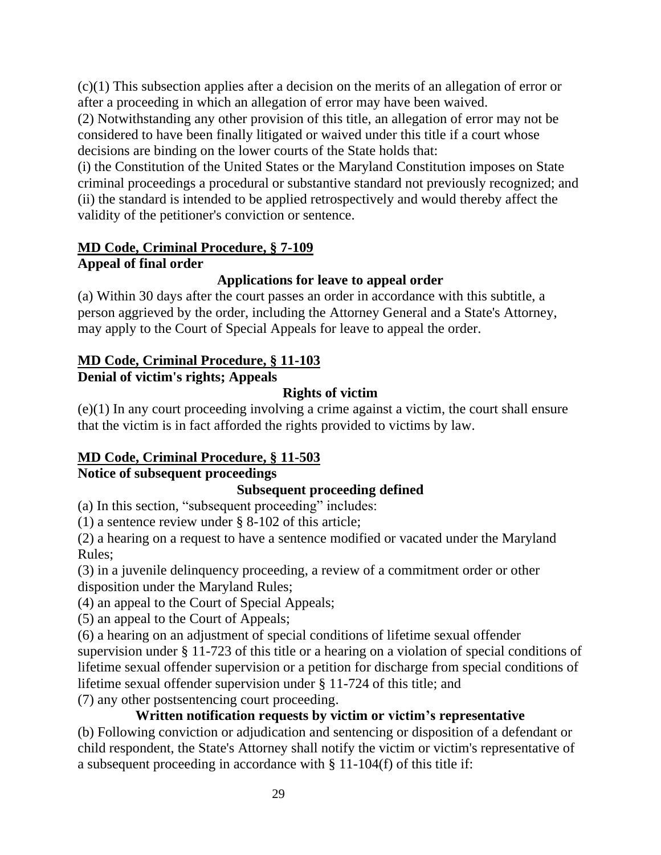(c)(1) This subsection applies after a decision on the merits of an allegation of error or after a proceeding in which an allegation of error may have been waived.

(2) Notwithstanding any other provision of this title, an allegation of error may not be considered to have been finally litigated or waived under this title if a court whose decisions are binding on the lower courts of the State holds that:

(i) the Constitution of the United States or the Maryland Constitution imposes on State criminal proceedings a procedural or substantive standard not previously recognized; and (ii) the standard is intended to be applied retrospectively and would thereby affect the validity of the petitioner's conviction or sentence.

## **MD Code, Criminal Procedure, § 7-109**

## **Appeal of final order**

## **Applications for leave to appeal order**

(a) Within 30 days after the court passes an order in accordance with this subtitle, a person aggrieved by the order, including the Attorney General and a State's Attorney, may apply to the Court of Special Appeals for leave to appeal the order.

### **MD Code, Criminal Procedure, § 11-103 Denial of victim's rights; Appeals**

**Rights of victim**

(e)(1) In any court proceeding involving a crime against a victim, the court shall ensure that the victim is in fact afforded the rights provided to victims by law.

# **MD Code, Criminal Procedure, § 11-503**

# **Notice of subsequent proceedings**

## **Subsequent proceeding defined**

(a) In this section, "subsequent proceeding" includes:

(1) a sentence review under § 8-102 of this article;

(2) a hearing on a request to have a sentence modified or vacated under the Maryland Rules;

(3) in a juvenile delinquency proceeding, a review of a commitment order or other disposition under the Maryland Rules;

(4) an appeal to the Court of Special Appeals;

(5) an appeal to the Court of Appeals;

(6) a hearing on an adjustment of special conditions of lifetime sexual offender supervision under § 11-723 of this title or a hearing on a violation of special conditions of lifetime sexual offender supervision or a petition for discharge from special conditions of lifetime sexual offender supervision under § 11-724 of this title; and

(7) any other postsentencing court proceeding.

# **Written notification requests by victim or victim's representative**

(b) Following conviction or adjudication and sentencing or disposition of a defendant or child respondent, the State's Attorney shall notify the victim or victim's representative of a subsequent proceeding in accordance with § 11-104(f) of this title if: